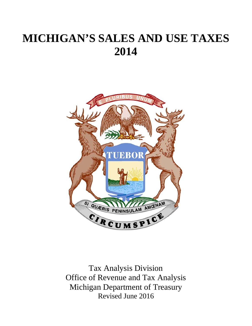# **MICHIGAN'S SALES AND USE TAXES 2014**



Tax Analysis Division Office of Revenue and Tax Analysis Michigan Department of Treasury Revised June 2016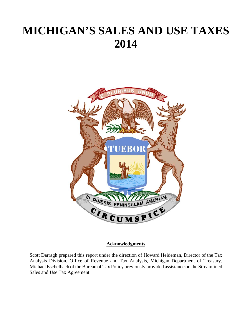# **MICHIGAN'S SALES AND USE TAXES 2014**



## **Acknowledgments**

Scott Darragh prepared this report under the direction of Howard Heideman, Director of the Tax Analysis Division, Office of Revenue and Tax Analysis, Michigan Department of Treasury. Michael Eschelbach of the Bureau of Tax Policy previously provided assistance on the Streamlined Sales and Use Tax Agreement.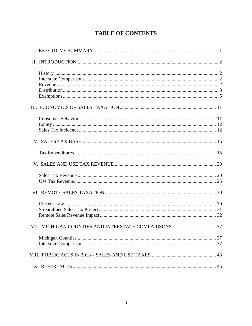# **TABLE OF CONTENTS**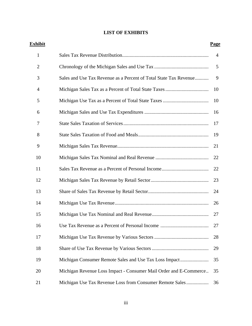## **LIST OF EXHIBITS**

| <u>Exhibit</u> |                                                                   | <u>Page</u>    |
|----------------|-------------------------------------------------------------------|----------------|
| $\mathbf{1}$   |                                                                   | $\overline{4}$ |
| $\overline{2}$ |                                                                   | 5              |
| 3              | Sales and Use Tax Revenue as a Percent of Total State Tax Revenue | 9              |
| 4              |                                                                   | 10             |
| 5              |                                                                   | 10             |
| 6              |                                                                   | 16             |
| 7              |                                                                   | 17             |
| 8              |                                                                   | 19             |
| 9              |                                                                   | 21             |
| 10             |                                                                   | 22             |
| 11             |                                                                   | 22             |
| 12             |                                                                   | 23             |
| 13             |                                                                   | 24             |
| 14             |                                                                   | 26             |
| 15             |                                                                   | 27             |
| 16             | Use Tax Revenue as a Percent of Personal Income                   | 27             |
| 17             |                                                                   | 28             |
| 18             |                                                                   | 29             |
| 19             |                                                                   | 35             |
| 20             | Michigan Revenue Loss Impact - Consumer Mail Order and E-Commerce | 35             |
| 21             | Michigan Use Tax Revenue Loss from Consumer Remote Sales          | 36             |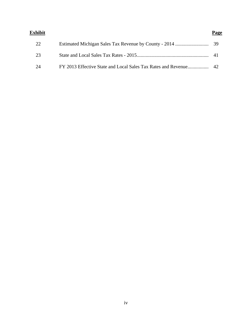| Exhibit | Page |
|---------|------|
| 22      |      |
| 23      |      |
| 24      |      |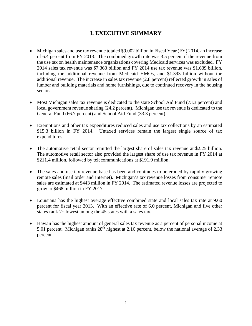# **I. EXECUTIVE SUMMARY**

- Michigan sales and use tax revenue totaled \$9.002 billion in Fiscal Year (FY) 2014, an increase of 6.4 percent from FY 2013. The combined growth rate was 3.5 percent if the revenue from the use tax on health maintenance organizations covering Medicaid services was excluded. FY 2014 sales tax revenue was \$7.363 billion and FY 2014 use tax revenue was \$1.639 billion, including the additional revenue from Medicaid HMOs, and \$1.393 billion without the additional revenue. The increase in sales tax revenue (2.8 percent) reflected growth in sales of lumber and building materials and home furnishings, due to continued recovery in the housing sector.
- Most Michigan sales tax revenue is dedicated to the state School Aid Fund (73.3 percent) and local government revenue sharing (24.2 percent). Michigan use tax revenue is dedicated to the General Fund (66.7 percent) and School Aid Fund (33.3 percent).
- Exemptions and other tax expenditures reduced sales and use tax collections by an estimated \$15.3 billion in FY 2014. Untaxed services remain the largest single source of tax expenditures.
- The automotive retail sector remitted the largest share of sales tax revenue at \$2.25 billion. The automotive retail sector also provided the largest share of use tax revenue in FY 2014 at \$211.4 million, followed by telecommunications at \$191.9 million.
- The sales and use tax revenue base has been and continues to be eroded by rapidly growing remote sales (mail order and Internet). Michigan's tax revenue losses from consumer remote sales are estimated at \$443 million in FY 2014. The estimated revenue losses are projected to grow to \$468 million in FY 2017.
- Louisiana has the highest average effective combined state and local sales tax rate at 9.60 percent for fiscal year 2013. With an effective rate of 6.0 percent, Michigan and five other states rank  $7<sup>th</sup>$  lowest among the 45 states with a sales tax.
- Hawaii has the highest amount of general sales tax revenue as a percent of personal income at 5.01 percent. Michigan ranks  $28<sup>th</sup>$  highest at 2.16 percent, below the national average of 2.33 percent.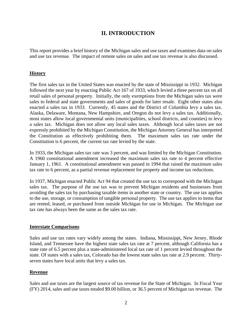## **II. INTRODUCTION**

This report provides a brief history of the Michigan sales and use taxes and examines data on sales and use tax revenue. The impact of remote sales on sales and use tax revenue is also discussed.

#### **History**

The first sales tax in the United States was enacted by the state of Mississippi in 1932. Michigan followed the next year by enacting Public Act 167 of 1933, which levied a three percent tax on all retail sales of personal property. Initially, the only exemptions from the Michigan sales tax were sales to federal and state governments and sales of goods for later resale. Eight other states also enacted a sales tax in 1933. Currently, 45 states and the District of Columbia levy a sales tax. Alaska, Delaware, Montana, New Hampshire, and Oregon do not levy a sales tax. Additionally, most states allow local governmental units (municipalities, school districts, and counties) to levy a sales tax. Michigan does not allow any local sales taxes. Although local sales taxes are not expressly prohibited by the Michigan Constitution, the Michigan Attorney General has interpreted the Constitution as effectively prohibiting them. The maximum sales tax rate under the Constitution is 6 percent, the current tax rate levied by the state.

In 1933, the Michigan sales tax rate was 3 percent, and was limited by the Michigan Constitution. A 1960 constitutional amendment increased the maximum sales tax rate to 4 percent effective January 1, 1961. A constitutional amendment was passed in 1994 that raised the maximum sales tax rate to 6 percent, as a partial revenue replacement for property and income tax reductions.

In 1937, Michigan enacted Public Act 94 that created the use tax to correspond with the Michigan sales tax. The purpose of the use tax was to prevent Michigan residents and businesses from avoiding the sales tax by purchasing taxable items in another state or country. The use tax applies to the use, storage, or consumption of tangible personal property. The use tax applies to items that are rented, leased, or purchased from outside Michigan for use in Michigan. The Michigan use tax rate has always been the same as the sales tax rate.

#### **Interstate Comparisons**

Sales and use tax rates vary widely among the states. Indiana, Mississippi, New Jersey, Rhode Island, and Tennessee have the highest state sales tax rate at 7 percent, although California has a state rate of 6.5 percent plus a state-administered local tax rate of 1 percent levied throughout the state. Of states with a sales tax, Colorado has the lowest state sales tax rate at 2.9 percent. Thirtyseven states have local units that levy a sales tax.

#### **Revenue**

Sales and use taxes are the largest source of tax revenue for the State of Michigan. In Fiscal Year (FY) 2014, sales and use taxes totaled \$9.00 billion, or 36.5 percent of Michigan tax revenue. The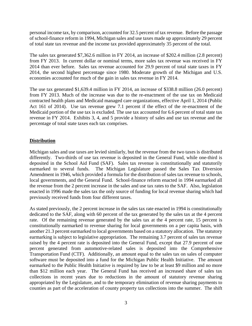personal income tax, by comparison, accounted for 32.5 percent of tax revenue. Before the passage of school-finance reform in 1994, Michigan sales and use taxes made up approximately 29 percent of total state tax revenue and the income tax provided approximately 35 percent of the total.

The sales tax generated \$7,362.6 million in FY 2014, an increase of \$202.4 million (2.8 percent) from FY 2013. In current dollar or nominal terms, more sales tax revenue was received in FY 2014 than ever before. Sales tax revenue accounted for 29.9 percent of total state taxes in FY 2014, the second highest percentage since 1980. Moderate growth of the Michigan and U.S. economies accounted for much of the gain in sales tax revenue in FY 2014.

The use tax generated \$1,639.4 million in FY 2014, an increase of \$338.8 million (26.0 percent) from FY 2013. Much of the increase was due to the re-enactment of the use tax on Medicaid contracted health plans and Medicaid managed care organizations, effective April 1, 2014 (Public Act 161 of 2014). Use tax revenue grew 7.1 percent if the effect of the re-enactment of the Medicaid portion of the use tax is excluded. The use tax accounted for 6.6 percent of total state tax revenue in FY 2014. Exhibits 3, 4, and 5 provide a history of sales and use tax revenue and the percentage of total state taxes each tax comprises.

## **Distribution**

Michigan sales and use taxes are levied similarly, but the revenue from the two taxes is distributed differently. Two-thirds of use tax revenue is deposited in the General Fund, while one-third is deposited in the School Aid Fund (SAF). Sales tax revenue is constitutionally and statutorily earmarked to several funds. The Michigan Legislature passed the Sales Tax Diversion Amendment in 1946, which provided a formula for the distribution of sales tax revenue to schools, local governments, and the General Fund. School-finance reform enacted in 1994 earmarked all the revenue from the 2 percent increase in the sales and use tax rates to the SAF. Also, legislation enacted in 1996 made the sales tax the only source of funding for local revenue sharing which had previously received funds from four different taxes.

As stated previously, the 2 percent increase in the sales tax rate enacted in 1994 is constitutionally dedicated to the SAF, along with 60 percent of the tax generated by the sales tax at the 4 percent rate. Of the remaining revenue generated by the sales tax at the 4 percent rate, 15 percent is constitutionally earmarked to revenue sharing for local governments on a per capita basis, with another 21.3 percent earmarked to local governments based on a statutory allocation. The statutory earmarking is subject to legislative appropriation. The remaining 3.7 percent of sales tax revenue raised by the 4 percent rate is deposited into the General Fund, except that 27.9 percent of one percent generated from automotive-related sales is deposited into the Comprehensive Transportation Fund (CTF). Additionally, an amount equal to the sales tax on sales of computer software must be deposited into a fund for the Michigan Public Health Initiative. The amount earmarked to the Public Health Initiative is required by law to be at least \$9 million and no more than \$12 million each year. The General Fund has received an increased share of sales tax collections in recent years due to reductions in the amount of statutory revenue sharing appropriated by the Legislature, and to the temporary elimination of revenue sharing payments to counties as part of the acceleration of county property tax collections into the summer. The shift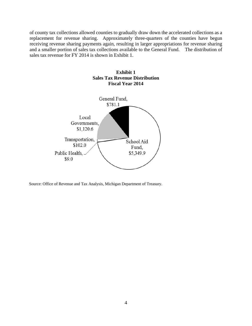of county tax collections allowed counties to gradually draw down the accelerated collections as a replacement for revenue sharing. Approximately three-quarters of the counties have begun receiving revenue sharing payments again, resulting in larger appropriations for revenue sharing and a smaller portion of sales tax collections available to the General Fund. The distribution of sales tax revenue for FY 2014 is shown in Exhibit 1.



**Exhibit 1 Sales Tax Revenue Distribution**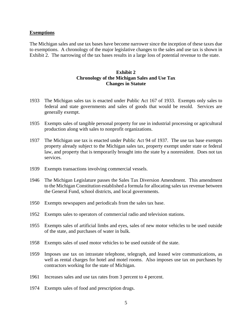#### **Exemptions**

The Michigan sales and use tax bases have become narrower since the inception of these taxes due to exemptions. A chronology of the major legislative changes to the sales and use tax is shown in Exhibit 2. The narrowing of the tax bases results in a large loss of potential revenue to the state.

#### **Exhibit 2 Chronology of the Michigan Sales and Use Tax Changes in Statute**

- 1933 The Michigan sales tax is enacted under Public Act 167 of 1933. Exempts only sales to federal and state governments and sales of goods that would be resold. Services are generally exempt.
- 1935 Exempts sales of tangible personal property for use in industrial processing or agricultural production along with sales to nonprofit organizations.
- 1937 The Michigan use tax is enacted under Public Act 94 of 1937. The use tax base exempts property already subject to the Michigan sales tax, property exempt under state or federal law, and property that is temporarily brought into the state by a nonresident. Does not tax services.
- 1939 Exempts transactions involving commercial vessels.
- 1946 The Michigan Legislature passes the Sales Tax Diversion Amendment. This amendment to the Michigan Constitution established a formula for allocating sales tax revenue between the General Fund, school districts, and local governments.
- 1950 Exempts newspapers and periodicals from the sales tax base.
- 1952 Exempts sales to operators of commercial radio and television stations.
- 1955 Exempts sales of artificial limbs and eyes, sales of new motor vehicles to be used outside of the state, and purchases of water in bulk.
- 1958 Exempts sales of used motor vehicles to be used outside of the state.
- 1959 Imposes use tax on intrastate telephone, telegraph, and leased wire communications, as well as rental charges for hotel and motel rooms. Also imposes use tax on purchases by contractors working for the state of Michigan.
- 1961 Increases sales and use tax rates from 3 percent to 4 percent.
- 1974 Exempts sales of food and prescription drugs.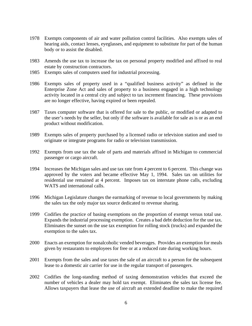- 1978 Exempts components of air and water pollution control facilities. Also exempts sales of hearing aids, contact lenses, eyeglasses, and equipment to substitute for part of the human body or to assist the disabled.
- 1983 Amends the use tax to increase the tax on personal property modified and affixed to real estate by construction contractors.
- 1985 Exempts sales of computers used for industrial processing.
- 1986 Exempts sales of property used in a "qualified business activity" as defined in the Enterprise Zone Act and sales of property to a business engaged in a high technology activity located in a central city and subject to tax increment financing. These provisions are no longer effective, having expired or been repealed.
- 1987 Taxes computer software that is offered for sale to the public, or modified or adapted to the user's needs by the seller, but only if the software is available for sale as is or as an end product without modification.
- 1989 Exempts sales of property purchased by a licensed radio or television station and used to originate or integrate programs for radio or television transmission.
- 1992 Exempts from use tax the sale of parts and materials affixed in Michigan to commercial passenger or cargo aircraft.
- 1994 Increases the Michigan sales and use tax rate from 4 percent to 6 percent. This change was approved by the voters and became effective May 1, 1994. Sales tax on utilities for residential use remained at 4 percent. Imposes tax on interstate phone calls, excluding WATS and international calls.
- 1996 Michigan Legislature changes the earmarking of revenue to local governments by making the sales tax the only major tax source dedicated to revenue sharing.
- 1999 Codifies the practice of basing exemptions on the proportion of exempt versus total use. Expands the industrial processing exemption. Creates a bad debt deduction for the use tax. Eliminates the sunset on the use tax exemption for rolling stock (trucks) and expanded the exemption to the sales tax.
- 2000 Enacts an exemption for nonalcoholic vended beverages. Provides an exemption for meals given by restaurants to employees for free or at a reduced rate during working hours.
- 2001 Exempts from the sales and use taxes the sale of an aircraft to a person for the subsequent lease to a domestic air carrier for use in the regular transport of passengers.
- 2002 Codifies the long-standing method of taxing demonstration vehicles that exceed the number of vehicles a dealer may hold tax exempt. Eliminates the sales tax license fee. Allows taxpayers that lease the use of aircraft an extended deadline to make the required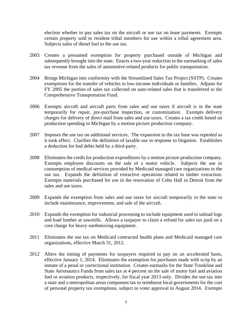election whether to pay sales tax on the aircraft or use tax on lease payments. Exempts certain property sold to resident tribal members for use within a tribal agreement area. Subjects sales of diesel fuel to the use tax.

- 2003 Creates a presumed exemption for property purchased outside of Michigan and subsequently brought into the state. Enacts a two-year reduction in the earmarking of sales tax revenue from the sales of automotive-related products for public transportation.
- 2004 Brings Michigan into conformity with the Streamlined Sales Tax Project (SSTP). Creates exemptions for the transfer of vehicles to low-income individuals or families. Adjusts for FY 2005 the portion of sales tax collected on auto-related sales that is transferred to the Comprehensive Transportation Fund.
- 2006 Exempts aircraft and aircraft parts from sales and use taxes if aircraft is in the state temporarily for repair, pre-purchase inspection, or customization. Exempts delivery charges for delivery of direct mail from sales and use taxes. Creates a tax credit based on production spending in Michigan by a motion picture production company.
- 2007 Imposes the use tax on additional services. The expansion to the tax base was repealed as it took effect. Clarifies the definition of taxable use in response to litigation. Establishes a deduction for bad debts held by a third-party.
- 2008 Eliminates the credit for production expenditures by a motion picture production company. Exempts employee discounts on the sale of a motor vehicle. Subjects the use or consumption of medical services provided by Medicaid managed care organizations to the use tax. Expands the definition of extractive operations related to timber extraction. Exempts materials purchased for use in the renovation of Cobo Hall in Detroit from the sales and use taxes.
- 2009 Expands the exemption from sales and use taxes for aircraft temporarily in the state to include maintenance, improvement, and sale of the aircraft.
- 2010 Expands the exemption for industrial processing to include equipment used to unload logs and load lumber at sawmills. Allows a taxpayer to claim a refund for sales tax paid on a core charge for heavy earthmoving equipment.
- 2011 Eliminates the use tax on Medicaid contracted health plans and Medicaid managed care organizations, effective March 31, 2012.
- 2012 Alters the timing of payments for taxpayers required to pay on an accelerated basis, effective January 1, 2014. Eliminates the exemption for purchases made with scrip by an inmate of a penal or correctional institution. Creates earmarks for the State Trunkline and State Aeronautics Funds from sales tax at 4 percent on the sale of motor fuel and aviation fuel or aviation products, respectively, for fiscal year 2013 only. Divides the use tax into a state and a metropolitan areas component tax to reimburse local governments for the cost of personal property tax exemptions, subject to voter approval in August 2014. Exempts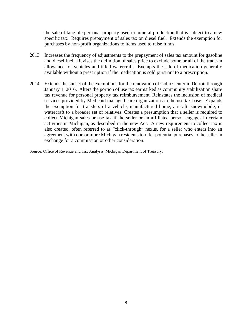the sale of tangible personal property used in mineral production that is subject to a new specific tax. Requires prepayment of sales tax on diesel fuel. Extends the exemption for purchases by non-profit organizations to items used to raise funds.

- 2013 Increases the frequency of adjustments to the prepayment of sales tax amount for gasoline and diesel fuel. Revises the definition of sales price to exclude some or all of the trade-in allowance for vehicles and titled watercraft. Exempts the sale of medication generally available without a prescription if the medication is sold pursuant to a prescription.
- 2014 Extends the sunset of the exemptions for the renovation of Cobo Center in Detroit through January 1, 2016. Alters the portion of use tax earmarked as community stabilization share tax revenue for personal property tax reimbursement. Reinstates the inclusion of medical services provided by Medicaid managed care organizations in the use tax base. Expands the exemption for transfers of a vehicle, manufactured home, aircraft, snowmobile, or watercraft to a broader set of relatives. Creates a presumption that a seller is required to collect Michigan sales or use tax if the seller or an affiliated person engages in certain activities in Michigan, as described in the new Act. A new requirement to collect tax is also created, often referred to as "click-through" nexus, for a seller who enters into an agreement with one or more Michigan residents to refer potential purchases to the seller in exchange for a commission or other consideration.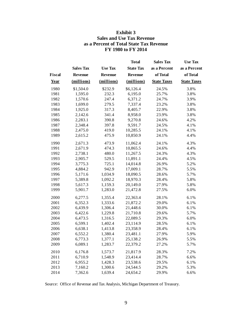## **Exhibit 3 Sales and Use Tax Revenue as a Percent of Total State Tax Revenue FY 1980 to FY 2014**

|               |                  |                | <b>Total</b>     | <b>Sales Tax</b>   | <b>Use Tax</b>     |
|---------------|------------------|----------------|------------------|--------------------|--------------------|
|               | <b>Sales Tax</b> | <b>Use Tax</b> | <b>State Tax</b> | as a Percent       | as a Percent       |
| <b>Fiscal</b> | Revenue          | <b>Revenue</b> | <b>Revenue</b>   | of Total           | of Total           |
| Year          | (millions)       | (millions)     | (millions)       | <b>State Taxes</b> | <b>State Taxes</b> |
| 1980          | \$1,504.0        | \$232.9        | \$6,126.4        | 24.5%              | 3.8%               |
| 1981          | 1,595.0          | 232.3          | 6,195.0          | 25.7%              | 3.8%               |
| 1982          | 1,570.6          | 247.4          | 6,371.2          | 24.7%              | 3.9%               |
| 1983          | 1,699.0          | 279.5          | 7,337.4          | 23.2%              | 3.8%               |
| 1984          | 1,925.0          | 317.3          | 8,405.7          | 22.9%              | 3.8%               |
| 1985          | 2,142.6          | 341.4          | 8,958.0          | 23.9%              | 3.8%               |
| 1986          | 2,283.1          | 390.8          | 9,270.8          | 24.6%              | 4.2%               |
| 1987          | 2,348.4          | 397.8          | 9,591.7          | 24.5%              | 4.1%               |
| 1988          | 2,475.0          | 419.0          | 10,285.5         | 24.1%              | 4.1%               |
| 1989          | 2,615.2          | 475.9          | 10,850.9         | 24.1%              | 4.4%               |
| 1990          | 2,671.3          | 473.9          | 11,062.4         | 24.1%              | 4.3%               |
| 1991          | 2,671.9          | 474.3          | 10,865.5         | 24.6%              | 4.4%               |
| 1992          | 2,738.1          | 480.0          | 11,267.5         | 24.3%              | 4.3%               |
| 1993          | 2,905.7          | 529.5          | 11,891.1         | 24.4%              | 4.5%               |
| 1994          | 3,775.3          | 725.1          | 14,014.8         | 26.9%              | 5.2%               |
| 1995          | 4,884.2          | 942.9          | 17,009.1         | 28.7%              | 5.5%               |
| 1996          | 5,171.6          | 1,034.9        | 18,090.5         | 28.6%              | 5.7%               |
| 1997          | 5,389.8          | 1,092.2        | 18,970.3         | 28.4%              | 5.8%               |
| 1998          | 5,617.3          | 1,159.3        | 20,149.0         | 27.9%              | 5.8%               |
| 1999          | 5,901.7          | 1,283.0        | 21,472.8         | 27.5%              | 6.0%               |
| 2000          | 6,277.5          | 1,355.4        | 22,363.4         | 28.1%              | 6.1%               |
| 2001          | 6,352.3          | 1,333.6        | 21,872.2         | 29.0%              | 6.1%               |
| 2002          | 6,439.9          | 1,306.4        | 21,448.6         | 30.0%              | 6.1%               |
| 2003          | 6,422.6          | 1,229.8        | 21,710.8         | 29.6%              | 5.7%               |
| 2004          | 6,473.5          | 1,316.5        | 22,089.5         | 29.3%              | 6.0%               |
| 2005          | 6,599.1          | 1,402.4        | 23,114.9         | 28.5%              | 6.1%               |
| 2006          | 6,638.1          | 1,413.8        | 23,358.9         | 28.4%              | 6.1%               |
| 2007          | 6,552.2          | 1,380.4        | 23,481.1         | 27.9%              | 5.9%               |
| 2008          | 6,773.3          | 1,377.1        | 25,138.2         | 26.9%              | 5.5%               |
| 2009          | 6,089.1          | 1,283.7        | 22,379.2         | 27.2%              | 5.7%               |
| 2010          | 6,176.8          | 1,573.7        | 21,817.9         | 28.3%              | 7.2%               |
| 2011          | 6,710.9          | 1,548.9        | 23,414.4         | 28.7%              | 6.6%               |
| 2012          | 6,955.2          | 1,428.3        | 23,538.6         | 29.5%              | 6.1%               |
| 2013          | 7,160.2          | 1,300.6        | 24,544.5         | 29.2%              | 5.3%               |
| 2014          | 7,362.6          | 1,639.4        | 24,654.2         | 29.9%              | 6.6%               |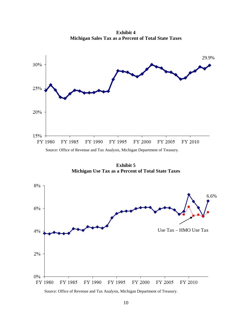**Exhibit 4 Michigan Sales Tax as a Percent of Total State Taxes**



**Exhibit 5 Michigan Use Tax as a Percent of Total State Taxes**

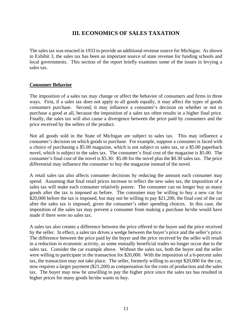# **III. ECONOMICS OF SALES TAXATION**

The sales tax was enacted in 1933 to provide an additional revenue source for Michigan. As shown in Exhibit 3, the sales tax has been an important source of state revenue for funding schools and local governments. This section of the report briefly examines some of the issues in levying a sales tax.

#### **Consumer Behavior**

The imposition of a sales tax may change or affect the behavior of consumers and firms in three ways. First, if a sales tax does not apply to all goods equally, it may affect the types of goods consumers purchase. Second, it may influence a consumer's decision on whether or not to purchase a good at all, because the imposition of a sales tax often results in a higher final price. Finally, the sales tax will also cause a divergence between the price paid by consumers and the price received by the sellers of the product.

Not all goods sold in the State of Michigan are subject to sales tax. This may influence a consumer's decision on which goods to purchase. For example, suppose a consumer is faced with a choice of purchasing a \$5.00 magazine, which is not subject to sales tax, or a \$5.00 paperback novel, which is subject to the sales tax. The consumer's final cost of the magazine is \$5.00. The consumer's final cost of the novel is \$5.30: \$5.00 for the novel plus the \$0.30 sales tax. The price differential may influence the consumer to buy the magazine instead of the novel.

A retail sales tax also affects consumer decisions by reducing the amount each consumer may spend. Assuming that final retail prices increase to reflect the new sales tax, the imposition of a sales tax will make each consumer relatively poorer. The consumer can no longer buy as many goods after the tax is imposed as before. The consumer may be willing to buy a new car for \$20,000 before the tax is imposed, but may not be willing to pay \$21,200, the final cost of the car after the sales tax is imposed, given the consumer's other spending choices. In this case, the imposition of the sales tax may prevent a consumer from making a purchase he/she would have made if there were no sales tax.

A sales tax also creates a difference between the price offered to the buyer and the price received by the seller. In effect, a sales tax drives a wedge between the buyer's price and the seller's price. The difference between the price paid by the buyer and the price received by the seller will result in a reduction in economic activity, as some mutually beneficial trades no longer occur due to the sales tax. Consider the car example above. Without the sales tax, both the buyer and the seller were willing to participate in the transaction for \$20,000. With the imposition of a 6-percent sales tax, the transaction may not take place. The seller, formerly willing to accept \$20,000 for the car, now requires a larger payment (\$21,200) as compensation for the costs of production and the sales tax. The buyer may now be unwilling to pay the higher price since the sales tax has resulted in higher prices for many goods he/she wants to buy.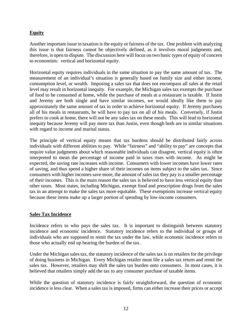## **Equity**

Another important issue in taxation is the equity or fairness of the tax. One problem with analyzing this issue is that fairness cannot be objectively defined, as it involves moral judgments and, therefore, is open to dispute. The discussion here will focus on two basic types of equity of concern to economists: vertical and horizontal equity.

Horizontal equity requires individuals in the same situation to pay the same amount of tax. The measurement of an individual's situation is generally based on family size and either income, consumption level, or wealth. Imposing a sales tax that does not encompass all sales at the retail level may result in horizontal inequity. For example, the Michigan sales tax exempts the purchase of food to be consumed at home, while the purchase of meals at a restaurant is taxable. If Justin and Jeremy are both single and have similar incomes, we would ideally like them to pay approximately the same amount of tax in order to achieve horizontal equity. If Jeremy purchases all of his meals in restaurants, he will have to pay tax on all of his meals. Conversely, if Justin prefers to cook at home, there will not be any sales tax on these meals. This will lead to horizontal inequity because Jeremy will pay more tax than Justin, even though both are in similar situations with regard to income and marital status.

The principle of vertical equity means that tax burdens should be distributed fairly across individuals with different abilities to pay. While "fairness" and "ability to pay" are concepts that require value judgments about which reasonable individuals can disagree, vertical equity is often interpreted to mean the percentage of income paid in taxes rises with income. As might be expected, the saving rate increases with income. Consumers with lower incomes have lower rates of saving, and thus spend a higher share of their incomes on items subject to the sales tax. Since consumers with higher incomes save more, the amount of sales tax they pay is a smaller percentage of their incomes. This is the main reason the sales tax is believed to have less vertical equity than other taxes. Most states, including Michigan, exempt food and prescription drugs from the sales tax in an attempt to make the sales tax more equitable. These exemptions increase vertical equity because these items make up a larger portion of spending by low-income consumers.

#### **Sales Tax Incidence**

Incidence refers to who pays the sales tax. It is important to distinguish between statutory incidence and economic incidence. Statutory incidence refers to the individual or groups of individuals who are supposed to remit the tax under the law, while economic incidence refers to those who actually end up bearing the burden of the tax.

Under the Michigan sales tax, the statutory incidence of the sales tax is on retailers for the privilege of doing business in Michigan. Every Michigan retailer must file a sales tax return and remit the sales tax. However, retailers may shift the sales tax burden onto consumers. In most cases, it is believed that retailers simply add the tax to any consumer purchase of taxable items.

While the question of statutory incidence is fairly straightforward, the question of economic incidence is less clear. When a sales tax is imposed, firms can either increase their prices or accept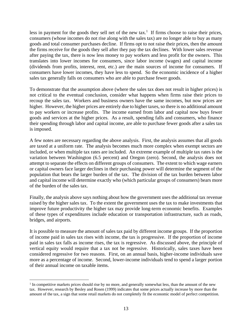less in payment for the goods they sell net of the new  $\text{tax.}^1$  If firms choose to raise their prices, consumers (whose incomes do not rise along with the sales tax) are no longer able to buy as many goods and total consumer purchases decline. If firms opt to not raise their prices, then the amount the firms receive for the goods they sell after they pay the tax declines. With lower sales revenue after paying the tax, there is now less money to pay workers and less profit for the owners. This translates into lower incomes for consumers, since labor income (wages) and capital income (dividends from profits, interest, rent, etc.) are the main sources of income for consumers. If consumers have lower incomes, they have less to spend. So the economic incidence of a higher sales tax generally falls on consumers who are able to purchase fewer goods.

To demonstrate that the assumption above (where the sales tax does not result in higher prices) is not critical to the eventual conclusion, consider what happens when firms raise their prices to recoup the sales tax. Workers and business owners have the same incomes, but now prices are higher. However, the higher prices are entirely due to higher taxes, so there is no additional amount to pay workers or increase profits. The income earned from labor and capital now buys fewer goods and services at the higher prices. As a result, spending falls and consumers, who finance their spending through labor and capital income, are able to purchase fewer goods after a sales tax is imposed.

A few notes are necessary regarding the above analysis. First, the analysis assumes that all goods are taxed at a uniform rate. The analysis becomes much more complex when exempt sectors are included, or when multiple tax rates are included. An extreme example of multiple tax rates is the variation between Washington (6.5 percent) and Oregon (zero). Second, the analysis does not attempt to separate the effects on different groups of consumers. The extent to which wage earners or capital owners face larger declines in their purchasing power will determine the segment of the population that bears the larger burden of the tax. The division of the tax burden between labor and capital income will determine exactly who (which particular groups of consumers) bears more of the burden of the sales tax.

Finally, the analysis above says nothing about how the government uses the additional tax revenue raised by the higher sales tax. To the extent the government uses the tax to make investments that improve future productivity the higher tax may provide long-term economic benefits. Examples of these types of expenditures include education or transportation infrastructure, such as roads, bridges, and airports.

It is possible to measure the amount of sales tax paid by different income groups. If the proportion of income paid in sales tax rises with income, the tax is progressive. If the proportion of income paid in sales tax falls as income rises, the tax is regressive. As discussed above, the principle of vertical equity would require that a tax not be regressive. Historically, sales taxes have been considered regressive for two reasons. First, on an annual basis, higher-income individuals save more as a percentage of income. Second, lower-income individuals tend to spend a larger portion of their annual income on taxable items.

 $\overline{a}$ 

<sup>&</sup>lt;sup>1</sup> In competitive markets prices should rise by no more, and generally somewhat less, than the amount of the new tax. However, research by Besley and Rosen (1999) indicates that some prices actually increase by more than the amount of the tax, a sign that some retail markets do not completely fit the economic model of perfect competition.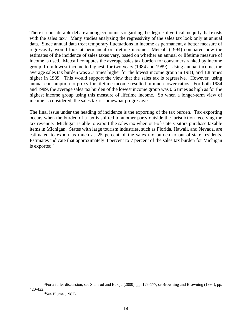There is considerable debate among economists regarding the degree of vertical inequity that exists with the sales tax.<sup>2</sup> Many studies analyzing the regressivity of the sales tax look only at annual data. Since annual data treat temporary fluctuations in income as permanent, a better measure of regressivity would look at permanent or lifetime income. Metcalf (1994) compared how the estimates of the incidence of sales taxes vary, based on whether an annual or lifetime measure of income is used. Metcalf computes the average sales tax burden for consumers ranked by income group, from lowest income to highest, for two years (1984 and 1989). Using annual income, the average sales tax burden was 2.7 times higher for the lowest income group in 1984, and 1.8 times higher in 1989. This would support the view that the sales tax is regressive. However, using annual consumption to proxy for lifetime income resulted in much lower ratios. For both 1984 and 1989, the average sales tax burden of the lowest income group was 0.6 times as high as for the highest income group using this measure of lifetime income. So when a longer-term view of income is considered, the sales tax is somewhat progressive.

The final issue under the heading of incidence is the exporting of the tax burden. Tax exporting occurs when the burden of a tax is shifted to another party outside the jurisdiction receiving the tax revenue. Michigan is able to export the sales tax when out-of-state visitors purchase taxable items in Michigan. States with large tourism industries, such as Florida, Hawaii, and Nevada, are estimated to export as much as 25 percent of the sales tax burden to out-of-state residents. Estimates indicate that approximately 3 percent to 7 percent of the sales tax burden for Michigan is exported.3

 $\overline{\phantom{a}}$ For a fuller discussion, see Slemrod and Bakija (2000), pp. 175-177, or Browning and Browning (1994), pp. 420-422. 3

 $3$ See Blume (1982).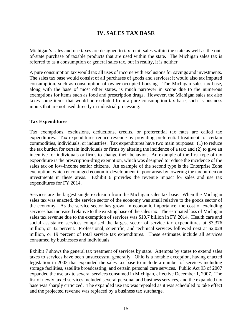# **IV. SALES TAX BASE**

Michigan's sales and use taxes are designed to tax retail sales within the state as well as the outof-state purchase of taxable products that are used within the state. The Michigan sales tax is referred to as a consumption or general sales tax, but in reality, it is neither.

A pure consumption tax would tax all uses of income with exclusions for savings and investments. The sales tax base would consist of all purchases of goods and services; it would also tax imputed consumption, such as consumption of owner-occupied housing. The Michigan sales tax base, along with the base of most other states, is much narrower in scope due to the numerous exemptions for items such as food and prescription drugs. However, the Michigan sales tax also taxes some items that would be excluded from a pure consumption tax base, such as business inputs that are not used directly in industrial processing.

#### **Tax Expenditures**

Tax exemptions, exclusions, deductions, credits, or preferential tax rates are called tax expenditures. Tax expenditures reduce revenue by providing preferential treatment for certain commodities, individuals, or industries. Tax expenditures have two main purposes: (1) to reduce the tax burden for certain individuals or firms by altering the incidence of a tax; and (2) to give an incentive for individuals or firms to change their behavior. An example of the first type of tax expenditure is the prescription-drug exemption, which was designed to reduce the incidence of the sales tax on low-income senior citizens. An example of the second type is the Enterprise Zone exemption, which encouraged economic development in poor areas by lowering the tax burden on investments in these areas. Exhibit 6 provides the revenue impact for sales and use tax expenditures for FY 2014.

Services are the largest single exclusion from the Michigan sales tax base. When the Michigan sales tax was enacted, the service sector of the economy was small relative to the goods sector of the economy. As the service sector has grown in economic importance, the cost of excluding services has increased relative to the existing base of the sales tax. The estimated loss of Michigan sales tax revenue due to the exemption of services was \$10.7 billion in FY 2014. Health care and social assistance services comprised the largest sector of service tax expenditures at \$3,376 million, or 32 percent. Professional, scientific, and technical services followed next at \$2,028 million, or 19 percent of total service tax expenditures. These estimates include all services consumed by businesses and individuals.

Exhibit 7 shows the general tax treatment of services by state. Attempts by states to extend sales taxes to services have been unsuccessful generally. Ohio is a notable exception, having enacted legislation in 2003 that expanded the sales tax base to include a number of services including storage facilities, satellite broadcasting, and certain personal care services. Public Act 93 of 2007 expanded the use tax to several services consumed in Michigan, effective December 1, 2007. The list of newly taxed services included several personal and business services, and the expanded tax base was sharply criticized. The expanded use tax was repealed as it was scheduled to take effect and the projected revenue was replaced by a business tax surcharge.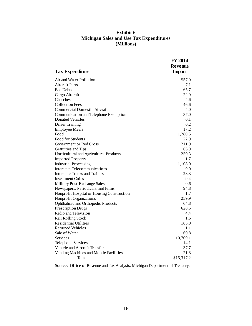## **Exhibit 6 Michigan Sales and Use Tax Expenditures (Millions)**

| <b>Tax Expenditure</b>                     | <b>FY 2014</b><br>Revenue<br><b>Impact</b> |
|--------------------------------------------|--------------------------------------------|
| Air and Water Pollution                    | \$57.0                                     |
| <b>Aircraft Parts</b>                      | 7.1                                        |
| <b>Bad Debts</b>                           | 65.7                                       |
| Cargo Aircraft                             | 22.9                                       |
| Churches                                   | 4.6                                        |
| <b>Collection Fees</b>                     | 46.6                                       |
| <b>Commercial Domestic Aircraft</b>        | 4.0                                        |
| Communication and Telephone Exemption      | 37.0                                       |
| Donated Vehicles                           | 0.1                                        |
| <b>Driver Training</b>                     | 0.2                                        |
| <b>Employee Meals</b>                      | 17.2                                       |
| Food                                       | 1,280.5                                    |
| <b>Food for Students</b>                   | 22.9                                       |
| Government or Red Cross                    | 211.9                                      |
| Gratuities and Tips                        | 66.9                                       |
| Horticultural and Agricultural Products    | 250.3                                      |
| <b>Imported Property</b>                   | 1.7                                        |
| <b>Industrial Processing</b>               | 1,108.0                                    |
| Interstate Telecommunications              | 9.0                                        |
| Interstate Trucks and Trailers             | 28.3                                       |
| <b>Investment Coins</b>                    | 9.4                                        |
| Military Post-Exchange Sales               | 0.6                                        |
| Newspapers, Periodicals, and Films         | 94.8                                       |
| Nonprofit Hospital or Housing Construction | 1.7                                        |
| Nonprofit Organizations                    | 259.9                                      |
| Ophthalmic and Orthopedic Products         | 64.8                                       |
| <b>Prescription Drugs</b>                  | 628.5                                      |
| Radio and Television                       | 4.4                                        |
| Rail Rolling Stock                         | 1.6                                        |
| <b>Residential Utilities</b>               | 165.0                                      |
| <b>Returned Vehicles</b>                   | 1.1                                        |
| Sale of Water                              | 60.8                                       |
| Services                                   | 10,709.1                                   |
| <b>Telephone Services</b>                  | 14.1                                       |
| Vehicle and Aircraft Transfer              | 37.7                                       |
| Vending Machines and Mobile Facilities     | 21.8                                       |
| Total                                      | \$15,317.2                                 |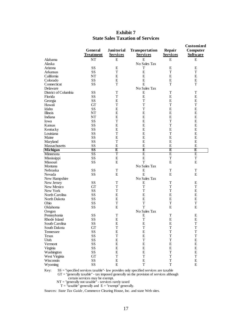|                      |                        |                   |                 |                         | Customized      |
|----------------------|------------------------|-------------------|-----------------|-------------------------|-----------------|
|                      | <b>General</b>         | <b>Janitorial</b> | Transportation  | Repair                  | Computer        |
|                      | <b>Treatment</b>       | <b>Services</b>   | <b>Services</b> | <b>Services</b>         | <b>Software</b> |
| Alabama              | NT                     | E                 | E               | E                       | E               |
| Alaska               |                        |                   | No Sales Tax    |                         |                 |
| Arizona              | SS                     | E                 | Т               | E                       | E               |
| Arkansas             | SS                     | T                 | E               | T                       | T               |
| California           | NT                     | E                 | E               | E                       | E               |
| Colorado             | SS                     | E                 | E               | E                       | E               |
|                      |                        |                   |                 | T                       |                 |
| Connecticut          | SS                     | T                 | E               |                         | T               |
| Delaware             |                        |                   | No Sales Tax    |                         |                 |
| District of Columbia | SS                     | T                 | E               | T                       | T               |
| Florida              | SS                     | T                 | E               | E                       | E               |
| Georgia              | SS                     | E                 | T               | E                       | E               |
| Hawaii               | <b>GT</b>              | T                 | T               | T                       | T               |
| Idaho                | SS                     | E                 | T               | E                       | E               |
| Illinois             | NT                     | E                 | E               | E                       | E               |
| Indiana              | NT                     | E                 | E               | E                       | E               |
| Iowa                 | SS                     | T                 | E               | T                       | E               |
| Kansas               | SS                     | E                 | E               | T                       | E               |
| Kentucky             | SS                     | E                 | E               | E                       | E               |
| Louisiana            | SS                     | T                 | E               | T                       | E               |
| Maine                | SS                     | E                 | E               | E                       | E               |
| Maryland             | SS                     | T                 | E               | E                       | E               |
| Massachusetts        | SS                     | E                 | E               | E                       | E               |
| Michigan             | $\overline{\text{SS}}$ | Ε                 | Έ               | $\overline{\textbf{E}}$ | Ε               |
| Minnesota            | SS                     | T                 | Ε               | Ε                       | Ε               |
| Mississippi          | SS                     | E                 | E               | T                       | $\mathbf T$     |
| Missouri             | SS                     | E                 | T               | E                       | ${\bf E}$       |
| Montana              |                        |                   | No Sales Tax    |                         |                 |
| Nebraska             | SS                     | T                 | E               | T                       | $\mathbf T$     |
|                      | SS                     | E                 | E               | E                       | E               |
| Nevada               |                        |                   | No Sales Tax    |                         |                 |
| New Hampshire        |                        |                   |                 |                         |                 |
| New Jersey           | SS                     | T                 | E               | T                       | E               |
| New Mexico           | <b>GT</b>              | T                 | T               | T                       | T               |
| New York             | SS                     | T                 | T               | T                       | E               |
| North Carolina       | SS                     | E                 | E               | E                       | E               |
| North Dakota         | SS                     | E                 | E               | E                       | E               |
| Ohio                 | SS                     | T                 | T               | T                       | T               |
| Oklahoma             | SS                     | E                 | T               | E                       | E               |
| Oregon               |                        |                   | No Sales Tax    |                         |                 |
| Pennsylvania         | SS                     | T                 | Ε               | $\mathbf T$             | Ε               |
| Rhode Island         | SS                     | E                 | T               | E                       | E               |
| South Carolina       | SS                     | E                 | E               | ${\bf E}$               | T               |
| South Dakota         | <b>GT</b>              | T                 | T               | T                       | T               |
| Tennessee            | SS                     | $\mathbf E$       | $\mathbf E$     | $\mathbf T$             | T               |
| <b>Texas</b>         | SS                     | $\mathbf T$       | ${\bf E}$       | $\mathbf T$             | $\mathbf T$     |
| Utah                 | SS                     | ${\bf E}$         | $\mathbf T$     | $\mathbf T$             | ${\bf E}$       |
| Vermont              | SS                     | $\mathbf E$       | E               | ${\bf E}$               | $\mathbf E$     |
| Virginia             | SS                     | E                 | ${\bf E}$       | ${\bf E}$               | ${\bf E}$       |
| Washington           | SS                     | ${\bf E}$         | ${\bf E}$       | $\mathbf T$             | ${\bf E}$       |
| West Virginia        | GT                     | $\mathbf T$       | $\mathbf T$     | $\mathbf T$             | $\mathbf T$     |
| Wisconsin            | $\rm SS$               | ${\bf E}$         | ${\bf E}$       | $\mathbf T$             | ${\bf E}$       |
| Wyoming              | SS                     | ${\bf E}$         | $\mathbf T$     | $\mathbf T$             | ${\bf E}$       |
|                      |                        |                   |                 |                         |                 |

#### **Exhibit 7 State Sales Taxation of Services**

Key: SS = "specified services taxable"- law provides only specified services are taxable

 $GT =$  "generally taxable" - tax imposed generally on the provision of services although certain services may be exempt.

NT = "generally not taxable" - services rarely taxed

 $T =$  "taxable" generally and  $E =$  "exempt" generally.

Sources: *State Tax Guide* , Commerce Clearing House, Inc. and state Web sites.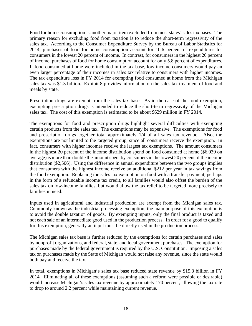Food for home consumption is another major item excluded from most states' sales tax bases. The primary reason for excluding food from taxation is to reduce the short-term regressivity of the sales tax. According to the Consumer Expenditure Survey by the Bureau of Labor Statistics for 2014, purchases of food for home consumption account for 10.6 percent of expenditures for consumers in the lowest 20 percent of income. In contrast, for consumers in the highest 20 percent of income, purchases of food for home consumption account for only 5.8 percent of expenditures. If food consumed at home were included in the tax base, low-income consumers would pay an even larger percentage of their incomes in sales tax relative to consumers with higher incomes. The tax expenditure loss in FY 2014 for exempting food consumed at home from the Michigan sales tax was \$1.3 billion. Exhibit 8 provides information on the sales tax treatment of food and meals by state.

Prescription drugs are exempt from the sales tax base. As in the case of the food exemption, exempting prescription drugs is intended to reduce the short-term regressivity of the Michigan sales tax. The cost of this exemption is estimated to be about \$629 million in FY 2014.

The exemptions for food and prescription drugs highlight several difficulties with exempting certain products from the sales tax. The exemptions may be expensive. The exemptions for food and prescription drugs together total approximately 1/4 of all sales tax revenue. Also, the exemptions are not limited to the targeted group, since all consumers receive the exemption. In fact, consumers with higher incomes receive the largest tax exemptions. The amount consumers in the highest 20 percent of the income distribution spend on food consumed at home (\$6,039 on average) is more than double the amount spent by consumers in the lowest 20 percent of the income distribution (\$2,506). Using the difference in annual expenditure between the two groups implies that consumers with the highest income receive an additional \$212 per year in tax savings from the food exemption. Replacing the sales tax exemption on food with a transfer payment, perhaps in the form of a refundable income tax credit, to all families would also offset the burden of the sales tax on low-income families, but would allow the tax relief to be targeted more precisely to families in need.

Inputs used in agricultural and industrial production are exempt from the Michigan sales tax. Commonly known as the industrial processing exemption, the main purpose of this exemption is to avoid the double taxation of goods. By exempting inputs, only the final product is taxed and not each sale of an intermediate good used in the production process. In order for a good to qualify for this exemption, generally an input must be directly used in the production process.

The Michigan sales tax base is further reduced by the exemptions for certain purchases and sales by nonprofit organizations, and federal, state, and local government purchases. The exemption for purchases made by the federal government is required by the U.S. Constitution. Imposing a sales tax on purchases made by the State of Michigan would not raise any revenue, since the state would both pay and receive the tax.

In total, exemptions in Michigan's sales tax base reduced state revenue by \$15.3 billion in FY 2014. Eliminating all of these exemptions (assuming such a reform were possible or desirable) would increase Michigan's sales tax revenue by approximately 170 percent, allowing the tax rate to drop to around 2.2 percent while maintaining current revenue.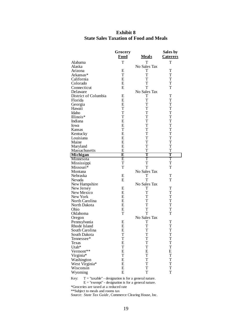|                       | Grocery                 |              | Sales by        |
|-----------------------|-------------------------|--------------|-----------------|
|                       | <b>Food</b>             | <b>Meals</b> | <u>Caterers</u> |
| Alabama               | T                       | T            | т               |
| Alaska                |                         | No Sales Tax |                 |
| Arizona               | Ε                       | Т            | T               |
| Arkansas*             | T                       | T            | T               |
| California            | E                       | T            | T               |
| Colorado              | E                       | T            | $\mathbf T$     |
| Connecticut           | E                       | T            | T               |
| Delaware              |                         | No Sales Tax |                 |
| District of Columbia  | E                       | T            | T               |
| Florida               | E                       | T            | T               |
| Georgia               | E                       | T            | T               |
| Hawaii                | T                       | T            | $\mathbf T$     |
| Idaho                 | T                       | T            | $\mathbf T$     |
| Illinois*             | T                       | T            | $\mathbf T$     |
| Indiana               | E                       | T            | T               |
| Iowa                  | Ε                       | $\mathbf T$  | $\mathbf T$     |
| <b>Kansas</b>         | T                       | T            | T               |
|                       | E                       | T            | T               |
| Kentucky              |                         |              |                 |
| Louisiana             | E                       | T            | T               |
| Maine                 | E                       | T            | $\mathbf T$     |
| Maryland              | E                       | T            | T               |
| Massachusetts         | E                       | T            | T               |
| <b>Michigan</b>       | $\overline{\mathbf{E}}$ | Т            | т               |
| Minnesota             | E                       | T            | T               |
| Mississippi           | T                       | T            | T               |
| Missouri <sup>*</sup> | T                       | T            | T               |
| Montana               |                         | No Sales Tax |                 |
| Nebraska              | Ε                       | T            | T               |
| Nevada                | E                       | T            | T               |
| New Hampshire         |                         | No Sales Tax |                 |
| New Jersey            | E                       | T            | T               |
| New Mexico            | Ε                       | T            | $\mathbf T$     |
| New York              | E                       | T            | $\mathbf T$     |
| North Carolina        | Ε                       | T            | $\mathbf T$     |
| North Dakota          | E                       | T            | T               |
| Ohio                  | E                       | T            | $\mathbf T$     |
| Oklahoma              | T                       | T            | $\mathbf T$     |
| Oregon                |                         | No Sales Tax |                 |
| Pennsylvania          | E                       | T            | $\mathbf T$     |
| Rhode Island          | Ε                       | T            | $\mathbf T$     |
| South Carolina        | Ε                       | T            | T               |
| South Dakota          | T                       | T            | T               |
| Tennessee*            | T                       | T            | T               |
| Texas                 | E                       | T            | T               |
| Utah*                 | T                       | T            | T               |
| Vermont**             | E                       | E            | E               |
| Virginia*             | T                       | T            | T               |
| Washington            | E                       | T            | T               |
| West Virginia*        | E                       | T            | $\mathbf T$     |
| Wisconsin             | E                       | T            | T               |
| Wyoming               | E                       | T            | T               |

## **Exhibit 8 State Sales Taxation of Food and Meals**

Key:  $T = "taxable" - designation is for a general nature.$  $E = "exempt" - designation is for a general nature.$ \*Groceries are taxed at a reduced rate \*\*Subject to meals and rooms tax Source: *State Tax Guide* , Commerce Clearing House, Inc.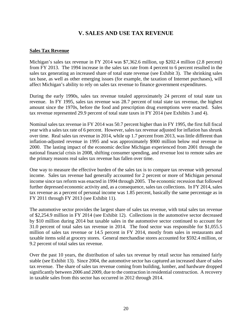# **V. SALES AND USE TAX REVENUE**

#### **Sales Tax Revenue**

Michigan's sales tax revenue in FY 2014 was \$7,362.6 million, up \$202.4 million (2.8 percent) from FY 2013. The 1994 increase in the sales tax rate from 4 percent to 6 percent resulted in the sales tax generating an increased share of total state revenue (see Exhibit 3). The shrinking sales tax base, as well as other emerging issues (for example, the taxation of Internet purchases), will affect Michigan's ability to rely on sales tax revenue to finance government expenditures.

During the early 1990s, sales tax revenue totaled approximately 24 percent of total state tax revenue. In FY 1995, sales tax revenue was 28.7 percent of total state tax revenue, the highest amount since the 1970s, before the food and prescription drug exemptions were enacted. Sales tax revenue represented 29.9 percent of total state taxes in FY 2014 (see Exhibits 3 and 4).

Nominal sales tax revenue in FY 2014 was 50.7 percent higher than in FY 1995, the first full fiscal year with a sales tax rate of 6 percent. However, sales tax revenue adjusted for inflation has shrunk over time. Real sales tax revenue in 2014, while up 1.7 percent from 2013, was little different than inflation-adjusted revenue in 1995 and was approximately \$900 million below real revenue in 2000. The lasting impact of the economic decline Michigan experienced from 2001 through the national financial crisis in 2008, shifting consumer spending, and revenue lost to remote sales are the primary reasons real sales tax revenue has fallen over time.

One way to measure the effective burden of the sales tax is to compare tax revenue with personal income. Sales tax revenue had generally accounted for 2 percent or more of Michigan personal income since tax reform was enacted in 1994 through 2005. The economic recession that followed further depressed economic activity and, as a consequence, sales tax collections. In FY 2014, sales tax revenue as a percent of personal income was 1.85 percent, basically the same percentage as in FY 2011 through FY 2013 (see Exhibit 11).

The automotive sector provides the largest share of sales tax revenue, with total sales tax revenue of \$2,254.9 million in FY 2014 (see Exhibit 12). Collections in the automotive sector decreased by \$10 million during 2014 but taxable sales in the automotive sector continued to account for 31.0 percent of total sales tax revenue in 2014. The food sector was responsible for \$1,055.5 million of sales tax revenue or 14.5 percent in FY 2014, mostly from sales in restaurants and taxable items sold at grocery stores. General merchandise stores accounted for \$592.4 million, or 9.2 percent of total sales tax revenue.

Over the past 10 years, the distribution of sales tax revenue by retail sector has remained fairly stable (see Exhibit 13). Since 2004, the automotive sector has captured an increased share of sales tax revenue. The share of sales tax revenue coming from building, lumber, and hardware dropped significantly between 2006 and 2009, due to the contraction in residential construction. A recovery in taxable sales from this sector has occurred in 2012 through 2014.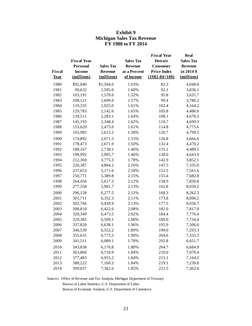|             |                    |                  |                  | <b>Fiscal Year</b>  | Real             |
|-------------|--------------------|------------------|------------------|---------------------|------------------|
|             | <b>Fiscal Year</b> |                  | <b>Sales Tax</b> | <b>Detroit</b>      | <b>Sales Tax</b> |
|             | <b>Personal</b>    | <b>Sales Tax</b> | <b>Revenue</b>   | Consumer            | <b>Revenue</b>   |
| Fiscal      | <b>Income</b>      | <b>Revenue</b>   | as a Percent     | <b>Price Index</b>  | in 2014 \$       |
| <b>Year</b> | (millions)         | (millions)       | of Income        | $(1982 - 84 = 100)$ | (millions)       |
| 1980        | \$92,040           | \$1,504.0        | 1.63%            | 82.3                | 4,048.0          |
| 1981        | 99,632             | 1,595.0          | 1.60%            | 92.1                | 3,836.1          |
| 1982        | 103,191            | 1,570.6          | 1.52%            | 95.8                | 3,631.7          |
| 1983        | 108,121            | 1,699.0          | 1.57%            | 99.4                | 3,786.2          |
| 1984        | 119,335            | 1,925.0          | 1.61%            | 102.4               | 4,164.2          |
| 1985        | 129,783            | 2,142.6          | 1.65%            | 105.8               | 4,486.0          |
| 1986        | 139,511            | 2,283.1          | 1.64%            | 108.1               | 4,678.5          |
| 1987        | 145,193            | 2,348.4          | 1.62%            | 110.7               | 4,699.3          |
| 1988        | 153,620            | 2,475.0          | 1.61%            | 114.8               | 4,775.6          |
| 1989        | 165,985            | 2,615.2          | 1.58%            | 120.7               | 4,799.5          |
| 1990        | 174,892            | 2,671.3          | 1.53%            | 126.8               | 4,666.6          |
| 1991        | 178,473            | 2,671.9          | 1.50%            | 132.4               | 4,470.2          |
| 1992        | 188,167            | 2,738.1          | 1.46%            | 135.1               | 4,489.5          |
| 1993        | 198,992            | 2,905.7          | 1.46%            | 138.6               | 4,643.9          |
| 1994        | 212,300            | 3,775.3          | 1.78%            | 142.9               | 5,852.1          |
| 1995        | 226,387            | 4,884.2          | 2.16%            | 147.5               | 7,335.0          |
| 1996        | 237,653            | 5,171.6          | 2.18%            | 151.5               | 7,561.6          |
| 1997        | 250,771            | 5,389.8          | 2.15%            | 155.4               | 7,682.8          |
| 1998        | 264,456            | 5,617.3          | 2.12%            | 158.9               | 7,830.8          |
| 1999        | 277,358            | 5,901.7          | 2.13%            | 162.8               | 8,030.2          |
| 2000        | 296,128            | 6,277.5          | 2.12%            | 168.3               | 8,262.3          |
| 2001        | 301,711            | 6,352.3          | 2.11%            | 173.8               | 8,096.2          |
| 2002        | 302,766            | 6,439.9          | 2.13%            | 177.5               | 8,036.7          |
| 2003        | 308,810            | 6,422.6          | 2.08%            | 182.0               | 7,817.0          |
| 2004        | 320,349            | 6,473.5          | 2.02%            | 184.4               | 7,776.4          |
| 2005        | 329,385            | 6,599.1          | 2.00%            | 189.0               | 7,734.4          |
| 2006        | 337,828            | 6,638.1          | 1.96%            | 195.9               | 7,506.0          |
| 2007        | 346,539            | 6,552.2          | 1.89%            | 199.0               | 7,293.3          |
| 2008        | 355,635            | 6,773.3          | 1.90%            | 204.6               | 7,333.3          |
| 2009        | 341,511            | 6,089.1          | 1.78%            | 202.8               | 6,651.7          |
| 2010        | 343,838            | 6,176.8          | 1.80%            | 204.7               | 6,684.9          |
| 2011        | 363,860            | 6,710.9          | 1.84%            | 210.0               | 7,079.4          |
| 2012        | 377,483            | 6,955.2          | 1.84%            | 215.1               | 7,164.2          |
| 2013        | 388,222            | 7,160.2          | 1.84%            | 219.1               | 7,239.8          |
| 2014        | 399,037            | 7,362.6          | 1.85%            | 221.5               | 7,362.6          |

## **Exhibit 9 Michigan Sales Tax Revenue FY 1980 to FY 2014**

Sources: Office of Revenue and Tax Analysis, Michigan Department of Treasury.

Bureau of Labor Statistics, U.S. Department of Labor.

Bureau of Economic Analysis, U.S. Department of Commerce.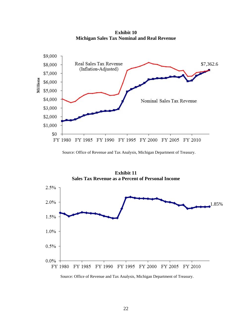**Exhibit 10 Michigan Sales Tax Nominal and Real Revenue**



**Exhibit 11 Sales Tax Revenue as a Percent of Personal Income** 



Source: Office of Revenue and Tax Analysis, Michigan Department of Treasury.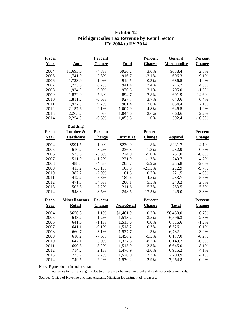## **Exhibit 12 Michigan Sales Tax Revenue by Retail Sector FY 2004 to FY 2014**

| <b>Fiscal</b> |                      | Percent       |                   | Percent       | General            | Percent       |
|---------------|----------------------|---------------|-------------------|---------------|--------------------|---------------|
| Year          | <b>Auto</b>          | <b>Change</b> | Food              | <b>Change</b> | <b>Merchandise</b> | <b>Change</b> |
| 2004          | \$1,693.6            | $-4.8%$       | \$936.2           | 3.6%          | \$638.4            | 2.5%          |
| 2005          | 1,741.0              | 2.8%          | 916.7             | $-2.1%$       | 696.3              | 9.1%          |
| 2006          | 1,723.9              | $-1.0%$       | 919.5             | 0.3%          | 686.5              | $-1.4%$       |
| 2007          | 1,735.5              | 0.7%          | 941.4             | 2.4%          | 716.2              | 4.3%          |
| 2008          | 1,924.9              | 10.9%         | 970.5             | 3.1%          | 705.0              | $-1.6%$       |
| 2009          | 1,822.0              | $-5.3%$       | 894.7             | $-7.8%$       | 601.9              | $-14.6%$      |
| 2010          | 1,811.2              | $-0.6%$       | 927.7             | 3.7%          | 640.6              | 6.4%          |
| 2011          | 1,977.9              | 9.2%          | 961.4             | 3.6%          | 654.4              | 2.1%          |
| 2012          | 2,157.6              | 9.1%          | 1,007.9           | 4.8%          | 646.5              | $-1.2%$       |
| 2013          | 2,265.2              | 5.0%          | 1,044.6           | 3.6%          | 660.6              | 2.2%          |
| 2014          | 2,254.9              | $-0.5%$       | 1,055.5           | 1.0%          | 592.4              | $-10.3%$      |
|               | <b>Building</b>      |               |                   |               |                    |               |
| <b>Fiscal</b> | Lumber &             | Percent       |                   | Percent       |                    | Percent       |
| Year          | <b>Hardware</b>      | <b>Change</b> | <b>Furniture</b>  | <b>Change</b> | <b>Apparel</b>     | <b>Change</b> |
| 2004          | \$591.5              | 11.0%         | \$239.9           | 1.8%          | \$231.7            | 4.1%          |
| 2005          | 610.7                | 3.2%          | 236.8             | $-1.3%$       | 232.9              | 0.5%          |
| 2006          | 575.5                | $-5.8%$       | 224.9             | $-5.0%$       | 231.0              | $-0.8%$       |
| 2007          | 511.0                | $-11.2%$      | 221.9             | $-1.3%$       | 240.7              | 4.2%          |
| 2008          | 488.8                | $-4.3%$       | 208.7             | $-5.9%$       | 235.8              | $-2.0%$       |
| 2009          | 415.2                | $-15.1%$      | 163.9             | $-21.5%$      | 212.9              | $-9.7%$       |
| 2010          | 382.2                | $-7.9%$       | 181.5             | 10.7%         | 221.5              | 4.0%          |
| 2011          | 412.2                | 7.8%          | 189.6             | 4.5%          | 233.7              | 5.5%          |
| 2012          | 471.8                | 14.5%         | 200.1             | 5.5%          | 240.2              | 2.8%          |
| 2013          | 505.8                | 7.2%          | 211.6             | 5.7%          | 253.5              | 5.5%          |
| 2014          | 548.8                | 8.5%          | 248.5             | 17.5%         | 245.0              | $-3.3%$       |
| Fiscal        | <b>Miscellaneous</b> | Percent       |                   | Percent       |                    | Percent       |
| Year          | <b>Retail</b>        | <b>Change</b> | <b>Non-Retail</b> | <b>Change</b> | <b>Total</b>       | <b>Change</b> |
| 2004          | \$656.8              | 1.1%          | \$1,461.9         | 0.3%          | \$6,450.0          | 0.7%          |
| 2005          | 648.7                | $-1.2%$       | 1,513.2           | 3.5%          | 6,596.3            | 2.3%          |
| 2006          | 641.6                | $-1.1%$       | 1,513.6           | 0.0%          | 6,516.6            | $-1.2%$       |
| 2007          | 641.1                | $-0.1%$       | 1,518.2           | 0.3%          | 6,526.1            | 0.1%          |
| 2008          | 660.7                | 3.1%          | 1,537.7           | 1.3%          | 6,732.1            | 3.2%          |
| 2009          | 610.2                | $-7.6%$       | 1,456.2           | $-5.3%$       | 6,177.0            | $-8.2%$       |
| 2010          | 647.1                | 6.0%          | 1,337.5           | $-8.2%$       | 6,149.2            | $-0.5%$       |
| 2011          | 699.8                | 8.2%          | 1,515.9           | 13.3%         | 6,645.0            | $8.1\%$       |
| 2012          | 714.2                | 2.1%          | 1,476.9           | $-2.6%$       | 6,915.2            | 4.1%          |
| 2013          | 733.7                | 2.7%          | 1,526.0           | 3.3%          | 7,200.9            | 4.1%          |
| 2014          | 749.5                | 2.2%          | 1,570.2           | 2.9%          | 7,264.8            | 0.9%          |

Note: Figures do not include use tax.

Total sales tax differs slightly due to differences between accrual and cash accounting methods.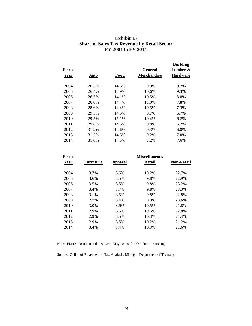#### **Exhibit 13 Share of Sales Tax Revenue by Retail Sector FY 2004 to FY 2014**

| <b>Fiscal</b><br>Year | Auto  | <b>Food</b> | General<br><b>Merchandise</b> | <b>Building</b><br>Lumber $\&$<br><b>Hardware</b> |
|-----------------------|-------|-------------|-------------------------------|---------------------------------------------------|
| 2004                  | 26.3% | 14.5%       | 9.9%                          | 9.2%                                              |
| 2005                  | 26.4% | 13.9%       | 10.6%                         | 9.3%                                              |
| 2006                  | 26.5% | 14.1%       | 10.5%                         | 8.8%                                              |
| 2007                  | 26.6% | 14.4%       | 11.0%                         | 7.8%                                              |
| 2008                  | 28.6% | 14.4%       | 10.5%                         | 7.3%                                              |
| 2009                  | 29.5% | 14.5%       | 9.7%                          | 6.7%                                              |
| 2010                  | 29.5% | 15.1%       | 10.4%                         | 6.2%                                              |
| 2011                  | 29.8% | 14.5%       | 9.8%                          | 6.2%                                              |
| 2012                  | 31.2% | 14.6%       | 9.3%                          | 6.8%                                              |
| 2013                  | 31.5% | 14.5%       | 9.2%                          | 7.0%                                              |
| 2014                  | 31.0% | 14.5%       | 8.2%                          | 7.6%                                              |
|                       |       |             |                               |                                                   |

| <b>Fiscal</b> |                  |                | <b>Miscellaneous</b> |                   |
|---------------|------------------|----------------|----------------------|-------------------|
| <b>Year</b>   | <b>Furniture</b> | <b>Apparel</b> | Retail               | <b>Non-Retail</b> |
| 2004          | 3.7%             | 3.6%           | 10.2%                | 22.7%             |
| 2005          | 3.6%             | 3.5%           | 9.8%                 | 22.9%             |
| 2006          | 3.5%             | 3.5%           | 9.8%                 | 23.2%             |
| 2007          | 3.4%             | 3.7%           | 9.8%                 | 23.3%             |
| 2008          | 3.1%             | 3.5%           | 9.8%                 | 22.8%             |
| 2009          | 2.7%             | 3.4%           | 9.9%                 | 23.6%             |
| 2010          | 3.0%             | 3.6%           | 10.5%                | 21.8%             |
| 2011          | 2.9%             | 3.5%           | 10.5%                | 22.8%             |
| 2012          | 2.9%             | 3.5%           | 10.3%                | 21.4%             |
| 2013          | 2.9%             | 3.5%           | 10.2%                | 21.2%             |
| 2014          | 3.4%             | 3.4%           | 10.3%                | 21.6%             |
|               |                  |                |                      |                   |

Note: Figures do not include use tax. May not total 100% due to rounding.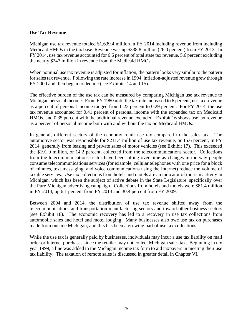#### **Use Tax Revenue**

Michigan use tax revenue totaled \$1,639.4 million in FY 2014 including revenue from including Medicaid HMOs in the tax base. Revenue was up \$338.8 million (26.0 percent) from FY 2013. In FY 2014, use tax revenue accounted for 6.6 percent of total state tax revenue, 5.6 percent excluding the nearly \$247 million in revenue from the Medicaid HMOs.

When nominal use tax revenue is adjusted for inflation, the pattern looks very similar to the pattern for sales tax revenue. Following the rate increase in 1994, inflation-adjusted revenue grew through FY 2000 and then began to decline (see Exhibits 14 and 15).

The effective burden of the use tax can be measured by comparing Michigan use tax revenue to Michigan personal income. From FY 1980 until the tax rate increased to 6 percent, use tax revenue as a percent of personal income ranged from 0.23 percent to 0.29 percent. For FY 2014, the use tax revenue accounted for 0.41 percent of personal income with the expanded tax on Medicaid HMOs, and 0.35 percent with the additional revenue excluded. Exhibit 16 shows use tax revenue as a percent of personal income both with and without the tax on Medicaid HMOs.

In general, different sectors of the economy remit use tax compared to the sales tax. The automotive sector was responsible for \$211.4 million of use tax revenue, or 15.6 percent, in FY 2014, generally from leasing and private sales of motor vehicles (see Exhibit 17). This exceeded the \$191.9 million, or 14.2 percent, collected from the telecommunications sector. Collections from the telecommunications sector have been falling over time as changes in the way people consume telecommunications services (for example, cellular telephones with one price for a block of minutes, text messaging, and voice communications using the Internet) reduce the volume of taxable services. Use tax collections from hotels and motels are an indicator of tourism activity in Michigan, which has been the subject of active debate in the State Legislature, specifically over the Pure Michigan advertising campaign. Collections from hotels and motels were \$81.4 million in FY 2014, up 6.1 percent from FY 2013 and 30.4 percent from FY 2009.

Between 2004 and 2014, the distribution of use tax revenue shifted away from the telecommunications and transportation manufacturing sectors and toward other business sectors (see Exhibit 18). The economic recovery has led to a recovery in use tax collections from automobile sales and hotel and motel lodging. Many businesses also owe use tax on purchases made from outside Michigan, and this has been a growing part of use tax collections.

While the use tax is generally paid by businesses, individuals may incur a use tax liability on mail order or Internet purchases since the retailer may not collect Michigan sales tax. Beginning in tax year 1999, a line was added to the Michigan income tax form to aid taxpayers in meeting their use tax liability. The taxation of remote sales is discussed in greater detail in Chapter VI.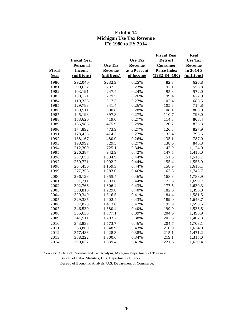## **Exhibit 14 Michigan Use Tax Revenue FY 1980 to FY 2014**

|               |                    |                |                | <b>Fiscal Year</b>  | <b>Real</b>    |
|---------------|--------------------|----------------|----------------|---------------------|----------------|
|               | <b>Fiscal Year</b> |                | <b>Use Tax</b> | <b>Detroit</b>      | <b>Use Tax</b> |
|               | <b>Personal</b>    | <b>Use Tax</b> | <b>Revenue</b> | Consumer            | Revenue        |
| <b>Fiscal</b> | <b>Income</b>      | <b>Revenue</b> | as a Percent   | <b>Price Index</b>  | in 2014 \$     |
| Year          | (millions)         | (millions)     | of Income      | $(1982 - 84 = 100)$ | (millions)     |
| 1980          | \$92,040           | \$232.9        | 0.25%          | 82.3                | 626.8          |
| 1981          | 99,632             | 232.3          | 0.23%          | 92.1                | 558.8          |
| 1982          | 103,191            | 247.4          | 0.24%          | 95.8                | 572.0          |
| 1983          | 108,121            | 279.5          | 0.26%          | 99.4                | 622.9          |
| 1984          | 119,335            | 317.3          | 0.27%          | 102.4               | 686.5          |
| 1985          | 129,783            | 341.4          | 0.26%          | 105.8               | 714.8          |
| 1986          | 139,511            | 390.8          | 0.28%          | 108.1               | 800.9          |
| 1987          | 145,193            | 397.8          | 0.27%          | 110.7               | 796.0          |
| 1988          | 153,620            | 419.0          | 0.27%          | 114.8               | 808.4          |
| 1989          | 165,985            | 475.9          | 0.29%          | 120.7               | 873.3          |
| 1990          | 174,892            | 473.9          | 0.27%          | 126.8               | 827.9          |
| 1991          | 178,473            | 474.3          | 0.27%          | 132.4               | 793.5          |
| 1992          | 188,167            | 480.0          | 0.26%          | 135.1               | 787.0          |
| 1993          | 198,992            | 529.5          | 0.27%          | 138.6               | 846.3          |
| 1994          | 212,300            | 725.1          | 0.34%          | 142.9               | 1,124.0        |
| 1995          | 226,387            | 942.9          | 0.42%          | 147.5               | 1,416.0        |
| 1996          | 237,653            | 1,034.9        | 0.44%          | 151.5               | 1,513.1        |
| 1997          | 250,771            | 1,092.2        | 0.44%          | 155.4               | 1,556.9        |
| 1998          | 264,456            | 1,159.3        | 0.44%          | 158.9               | 1,616.1        |
| 1999          | 277,358            | 1,283.0        | 0.46%          | 162.8               | 1,745.7        |
| 2000          | 296,128            | 1,355.4        | 0.46%          | 168.3               | 1,783.9        |
| 2001          | 301,711            | 1,333.6        | 0.44%          | 173.8               | 1,699.7        |
| 2002          | 302,766            | 1,306.4        | 0.43%          | 177.5               | 1,630.3        |
| 2003          | 308,810            | 1,229.8        | 0.40%          | 182.0               | 1,496.8        |
| 2004          | 320,349            | 1,316.5        | 0.41%          | 184.4               | 1,581.5        |
| 2005          | 329,385            | 1,402.4        | 0.43%          | 189.0               | 1,643.7        |
| 2006          | 337,828            | 1,413.8        | 0.42%          | 195.9               | 1,598.6        |
| 2007          | 346,539            | 1,380.4        | 0.40%          | 199.0               | 1,536.5        |
| 2008          | 355,635            | 1,377.1        | 0.39%          | 204.6               | 1,490.9        |
| 2009          | 341,511            | 1,283.7        | 0.38%          | 202.8               | 1,402.3        |
| 2010          | 343,838            | 1,573.7        | 0.46%          | 204.7               | 1,703.1        |
| 2011          | 363,860            | 1,548.9        | 0.43%          | 210.0               | 1,634.0        |
| 2012          | 377,483            | 1,428.3        | 0.38%          | 215.1               | 1,471.2        |
| 2013          | 388,222            | 1,300.6        | 0.34%          | 219.1               | 1,315.0        |
| 2014          | 399,037            | 1,639.4        | 0.41%          | 221.5               | 1,639.4        |

Sources: Office of Revenue and Tax Analysis, Michigan Department of Treasury.

Bureau of Labor Statistics, U.S. Department of Labor.

Bureau of Economic Analysis, U.S. Department of Commerce.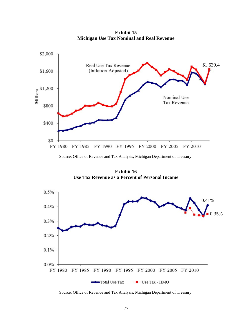**Exhibit 15 Michigan Use Tax Nominal and Real Revenue**



Source: Office of Revenue and Tax Analysis, Michigan Department of Treasury.

**Exhibit 16 Use Tax Revenue as a Percent of Personal Income** 

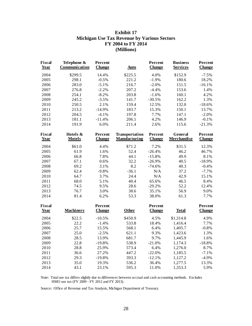## **Exhibit 17 Michigan Use Tax Revenue by Various Sectors FY 2004 to FY 2014 (Millions)**

| <b>Fiscal</b><br>Year        | Telephone &<br>Communication | Percent<br><b>Change</b> | <b>Auto</b>                            | Percent<br><b>Change</b> | <b>Business</b><br><b>Services</b> | Percent<br><b>Change</b> |
|------------------------------|------------------------------|--------------------------|----------------------------------------|--------------------------|------------------------------------|--------------------------|
| 2004                         | \$299.5                      | 14.4%                    | \$225.5                                | 4.0%                     | \$152.9                            | $-7.5%$                  |
| 2005                         | 298.1                        | $-0.5%$                  | 221.2                                  | $-1.9%$                  | 180.6                              | 18.2%                    |
| 2006                         | 283.0                        | $-5.1%$                  | 216.7                                  | $-2.0%$                  | 151.5                              | $-16.1%$                 |
| 2007                         | 276.8                        | $-2.2%$                  | 207.2                                  | $-4.4%$                  | 153.6                              | 1.4%                     |
| 2008                         | 254.1                        | $-8.2%$                  | 203.8                                  | $-1.6%$                  | 160.1                              | 4.2%                     |
| 2009                         | 245.2                        | $-3.5%$                  | 141.7                                  | $-30.5%$                 | 162.2                              | 1.3%                     |
| 2010                         | 250.5                        | 2.1%                     | 159.4                                  | 12.5%                    | 132.0                              | $-18.6%$                 |
| 2011                         | 213.2                        | $-14.9%$                 | 183.7                                  | 15.3%                    | 150.1                              | 13.7%                    |
| 2012                         | 204.5                        | $-4.1%$                  | 197.8                                  | 7.7%                     | 147.1                              | $-2.0%$                  |
| 2013                         | 181.1                        | $-11.4%$                 | 206.1                                  | 4.2%                     | 146.9                              | $-0.1%$                  |
| 2014                         | 191.9                        | 6.0%                     | 211.4                                  | 2.6%                     | 115.6                              | $-21.3%$                 |
| <b>Fiscal</b><br><b>Year</b> | Hotels &<br><b>Motels</b>    | Percent<br><b>Change</b> | Transportation<br><b>Manufacturing</b> | Percent<br><b>Change</b> | General<br><b>Merchandise</b>      | Percent<br><b>Change</b> |
| 2004                         | \$61.0                       | 4.4%                     | \$71.2                                 | 7.2%                     | \$31.5                             | 12.3%                    |
| 2005                         | 61.9                         | 1.6%                     | 52.4                                   | $-26.4%$                 | 46.2                               | 46.7%                    |
| 2006                         | 66.8                         | 7.8%                     | 44.1                                   | $-15.8%$                 | 49.9                               | 8.1%                     |
| 2007                         | 67.1                         | 0.6%                     | 32.2                                   | $-26.9%$                 | 40.5                               | $-18.9%$                 |
| 2008                         | 69.2                         | 3.1%                     | 8.2                                    | $-74.6%$                 | 40.3                               | $-0.4%$                  |
| 2009                         | 62.4                         | $-9.8%$                  | $-36.1$                                | N/A                      | 37.2                               | $-7.7%$                  |
| 2010                         | 64.7                         | 3.7%                     | 24.4                                   | N/A                      | 42.9                               | 15.1%                    |
| 2011                         | 68.0                         | 5.1%                     | 40.4                                   | 65.6%                    | 46.5                               | 8.4%                     |
| 2012                         | 74.5                         | 9.5%                     | 28.6                                   | $-29.2%$                 | 52.2                               | 12.4%                    |
| 2013                         | 76.7                         | 3.0%                     | 38.6                                   | 35.1%                    | 56.9                               | 9.0%                     |
| 2014                         | 81.4                         | 6.2%                     | 53.3                                   | 38.0%                    | 61.3                               | 7.7%                     |
| <b>Fiscal</b>                |                              | Percent                  |                                        | Percent                  |                                    | Percent                  |
| <b>Year</b>                  | <b>Machinery</b>             | <b>Change</b>            | Other                                  | <b>Change</b>            | <b>Total</b>                       | <b>Change</b>            |
| 2004                         | \$22.5                       | $-10.5%$                 | \$450.9                                | 4.5%                     | \$1,314.8                          | 4.9%                     |
| 2005                         | 22.2                         | $-1.4%$                  | 533.8                                  | 18.4%                    | 1,416.4                            | 7.7%                     |
| 2006                         | 25.7                         | 15.5%                    | 568.1                                  | 6.4%                     | 1,405.7                            | $-0.8%$                  |
| 2007                         | 25.0                         | $-2.5%$                  | 621.1                                  | 9.3%                     | 1,423.6                            | 1.3%                     |
| 2008                         | 28.5                         | 13.9%                    | 681.7                                  | 9.7%                     | 1,445.9                            | 1.6%                     |
| 2009                         | 22.8                         | $-19.8%$                 | 538.9                                  | $-21.0%$                 | 1,174.3                            | $-18.8%$                 |
| 2010                         | 28.8                         | 25.9%                    | 573.4                                  | 6.4%                     | 1,276.0                            | 8.7%                     |
| 2011                         | 36.6                         | 27.2%                    | 447.2                                  | $-22.0%$                 | 1,185.5                            | $-7.1%$                  |
| 2012                         | 29.3                         | $-19.8%$                 | 393.3                                  | $-12.1%$                 | 1,127.2                            | $-4.9%$                  |
| 2013                         | 35.0                         | 19.3%                    | 536.2                                  | 36.4%                    | 1,277.5                            | 13.3%                    |
| 2014                         | 43.1                         | 23.1%                    | 595.3                                  | 11.0%                    | 1,353.3                            | 5.9%                     |

 Note: Total use tax differs slightly due to differences between accrual and cash accounting methods. Excludes HMO use tax (FY 2009 - FY 2012 and FY 2013).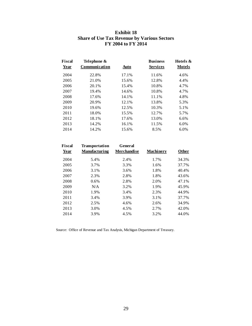| Fiscal<br><b>Year</b> | Telephone &<br>Communication | <b>Auto</b> | <b>Business</b><br><b>Services</b> | Hotels &<br><b>Motels</b> |
|-----------------------|------------------------------|-------------|------------------------------------|---------------------------|
| 2004                  | 22.8%                        | 17.1%       | 11.6%                              | 4.6%                      |
| 2005                  | 21.0%                        | 15.6%       | 12.8%                              | 4.4%                      |
| 2006                  | 20.1%                        | 15.4%       | 10.8%                              | 4.7%                      |
| 2007                  | 19.4%                        | 14.6%       | 10.8%                              | 4.7%                      |
| 2008                  | 17.6%                        | 14.1%       | 11.1%                              | 4.8%                      |
| 2009                  | 20.9%                        | 12.1%       | 13.8%                              | 5.3%                      |
| 2010                  | 19.6%                        | 12.5%       | 10.3%                              | 5.1%                      |
| 2011                  | 18.0%                        | 15.5%       | 12.7%                              | 5.7%                      |
| 2012                  | 18.1%                        | 17.6%       | 13.0%                              | 6.6%                      |
| 2013                  | 14.2%                        | 16.1%       | 11.5%                              | 6.0%                      |

2014 14.2% 15.6% 8.5% 6.0%

## **Exhibit 18 Share of Use Tax Revenue by Various Sectors FY 2004 to FY 2014**

| <b>Fiscal</b><br>Year | Transportation<br><b>Manufacturing</b> | General<br><b>Merchandise</b> | <b>Machinery</b> | <b>Other</b> |
|-----------------------|----------------------------------------|-------------------------------|------------------|--------------|
| 2004                  | 5.4%                                   | 2.4%                          | 1.7%             | 34.3%        |
| 2005                  | 3.7%                                   | 3.3%                          | 1.6%             | 37.7%        |
| 2006                  | 3.1%                                   | 3.6%                          | 1.8%             | 40.4%        |
| 2007                  | 2.3%                                   | 2.8%                          | 1.8%             | 43.6%        |
| 2008                  | $0.6\%$                                | 2.8%                          | 2.0%             | 47.1%        |
| 2009                  | N/A                                    | 3.2%                          | 1.9%             | 45.9%        |
| 2010                  | 1.9%                                   | 3.4%                          | 2.3%             | 44.9%        |
| 2011                  | 3.4%                                   | 3.9%                          | 3.1%             | 37.7%        |
| 2012                  | 2.5%                                   | 4.6%                          | 2.6%             | 34.9%        |
| 2013                  | 3.0%                                   | 4.5%                          | 2.7%             | 42.0%        |
| 2014                  | 3.9%                                   | 4.5%                          | 3.2%             | 44.0%        |
|                       |                                        |                               |                  |              |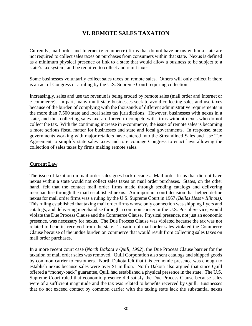# **VI. REMOTE SALES TAXATION**

Currently, mail order and Internet (e-commerce) firms that do not have nexus within a state are not required to collect sales taxes on purchases from consumers within that state. Nexus is defined as a minimum physical presence or link to a state that would allow a business to be subject to a state's tax system, and be required to collect and remit taxes.

Some businesses voluntarily collect sales taxes on remote sales. Others will only collect if there is an act of Congress or a ruling by the U.S. Supreme Court requiring collection.

Increasingly, sales and use tax revenue is being eroded by remote sales (mail order and Internet or e-commerce). In part, many multi-state businesses seek to avoid collecting sales and use taxes because of the burden of complying with the thousands of different administrative requirements in the more than 7,500 state and local sales tax jurisdictions. However, businesses with nexus in a state, and thus collecting sales tax, are forced to compete with firms without nexus who do not collect the tax. With the continuing increase in e-commerce, the issue of remote sales is becoming a more serious fiscal matter for businesses and state and local governments. In response, state governments working with major retailers have entered into the Streamlined Sales and Use Tax Agreement to simplify state sales taxes and to encourage Congress to enact laws allowing the collection of sales taxes by firms making remote sales.

## **Current Law**

The issue of taxation on mail order sales goes back decades. Mail order firms that did not have nexus within a state would not collect sales taxes on mail order purchases. States, on the other hand, felt that the contact mail order firms made through sending catalogs and delivering merchandise through the mail established nexus. An important court decision that helped define nexus for mail order firms was a ruling by the U.S. Supreme Court in 1967 *(Bellas Hess v Illinois)*. This ruling established that taxing mail order firms whose only connection was shipping flyers and catalogs, and delivering merchandise through a common carrier or the U.S. Postal Service, would violate the Due Process Clause and the Commerce Clause. Physical presence, not just an economic presence, was necessary for nexus. The Due Process Clause was violated because the tax was not related to benefits received from the state. Taxation of mail order sales violated the Commerce Clause because of the undue burden on commerce that would result from collecting sales taxes on mail order purchases.

In a more recent court case (*North Dakota v Quill, 1992*), the Due Process Clause barrier for the taxation of mail order sales was removed. Quill Corporation also sent catalogs and shipped goods by common carrier to customers. North Dakota felt that this economic presence was enough to establish nexus because sales were over \$1 million. North Dakota also argued that since Quill offered a "money-back" guarantee, Quill had established a physical presence in the state. The U.S. Supreme Court ruled that economic presence did satisfy the Due Process Clause because sales were of a sufficient magnitude and the tax was related to benefits received by Quill. Businesses that do not exceed contact by common carrier with the taxing state lack the substantial nexus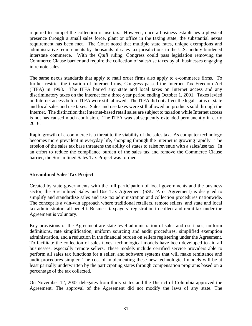required to compel the collection of use tax. However, once a business establishes a physical presence through a small sales force, plant or office in the taxing state, the substantial nexus requirement has been met. The Court noted that multiple state rates, unique exemptions and administrative requirements by thousands of sales tax jurisdictions in the U.S. unduly burdened interstate commerce. With the *Quill* ruling, Congress could pass legislation removing the Commerce Clause barrier and require the collection of sales/use taxes by all businesses engaging in remote sales.

The same nexus standards that apply to mail order firms also apply to e-commerce firms. To further restrict the taxation of Internet firms, Congress passed the Internet Tax Freedom Act (ITFA) in 1998. The ITFA barred any state and local taxes on Internet access and any discriminatory taxes on the Internet for a three-year period ending October 1, 2001. Taxes levied on Internet access before ITFA were still allowed. The ITFA did not affect the legal status of state and local sales and use taxes. Sales and use taxes were still allowed on products sold through the Internet. The distinction that Internet-based retail sales are subject to taxation while Internet access is not has caused much confusion. The ITFA was subsequently extended permanently in early 2016.

Rapid growth of e-commerce is a threat to the viability of the sales tax. As computer technology becomes more prevalent in everyday life, shopping through the Internet is growing rapidly. The erosion of the sales tax base threatens the ability of states to raise revenue with a sales/use tax. In an effort to reduce the compliance burden of the sales tax and remove the Commerce Clause barrier, the Streamlined Sales Tax Project was formed.

## **Streamlined Sales Tax Project**

Created by state governments with the full participation of local governments and the business sector, the Streamlined Sales and Use Tax Agreement (SSUTA or Agreement) is designed to simplify and standardize sales and use tax administration and collection procedures nationwide. The concept is a win-win approach where traditional retailers, remote sellers, and state and local tax administrators all benefit. Business taxpayers' registration to collect and remit tax under the Agreement is voluntary.

Key provisions of the Agreement are state level administration of sales and use taxes, uniform definitions, rate simplification, uniform sourcing and audit procedures, simplified exemption administration, and a reduction in the financial burden on sellers registering under the Agreement. To facilitate the collection of sales taxes, technological models have been developed to aid all businesses, especially remote sellers. These models include certified service providers able to perform all sales tax functions for a seller, and software systems that will make remittance and audit procedures simpler. The cost of implementing these new technological models will be at least partially underwritten by the participating states through compensation programs based on a percentage of the tax collected.

On November 12, 2002 delegates from thirty states and the District of Columbia approved the Agreement. The approval of the Agreement did not modify the laws of any state. The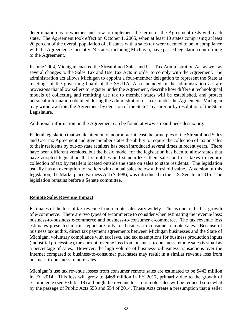determination as to whether and how to implement the terms of the Agreement rests with each state. The Agreement took effect on October 1, 2005, when at least 10 states comprising at least 20 percent of the overall population of all states with a sales tax were deemed to be in compliance with the Agreement. Currently 24 states, including Michigan, have passed legislation conforming to the Agreement.

In June 2004, Michigan enacted the Streamlined Sales and Use Tax Administration Act as well as several changes to the Sales Tax and Use Tax Acts in order to comply with the Agreement. The administration act allows Michigan to appoint a four-member delegation to represent the State at meetings of the governing board of the SSUTA. Also included in the administration act are provisions that allow sellers to register under the Agreement, describe how different technological models of collecting and remitting use tax to member states will be established, and protect personal information obtained during the administration of taxes under the Agreement. Michigan may withdraw from the Agreement by decision of the State Treasurer or by resolution of the State Legislature.

Additional information on the Agreement can be found at www.streamlinedsalestax.org.

Federal legislation that would attempt to incorporate at least the principles of the Streamlined Sales and Use Tax Agreement and give member states the ability to require the collection of tax on sales to their residents by out-of-state retailers has been introduced several times in recent years. There have been different versions, but the basic model for the legislation has been to allow states that have adopted legislation that simplifies and standardizes their sales and use taxes to require collection of tax by retailers located outside the state on sales to state residents. The legislation usually has an exemption for sellers with annual sales below a threshold value. A version of this legislation, the Marketplace Fairness Act (S. 698), was introduced in the U.S. Senate in 2015. The legislation remains before a Senate committee.

## **Remote Sales Revenue Impact**

Estimates of the loss of tax revenue from remote sales vary widely. This is due to the fast growth of e-commerce. There are two types of e-commerce to consider when estimating the revenue loss: business-to-business e-commerce and business-to-consumer e-commerce. The tax revenue loss estimates presented in this report are only for business-to-consumer remote sales. Because of business tax audits, direct tax payment agreements between Michigan businesses and the State of Michigan, voluntary compliance with tax laws, and tax exemptions for business production inputs (industrial processing), the current revenue loss from business-to-business remote sales is small as a percentage of sales. However, the high volume of business-to-business transactions over the Internet compared to business-to-consumer purchases may result in a similar revenue loss from business-to-business remote sales.

Michigan's use tax revenue losses from consumer remote sales are estimated to be \$443 million in FY 2014. This loss will grow to \$468 million in FY 2017, primarily due to the growth of e-commerce (see Exhibit 19) although the revenue loss to remote sales will be reduced somewhat by the passage of Public Acts 553 and 554 of 2014. These Acts create a presumption that a seller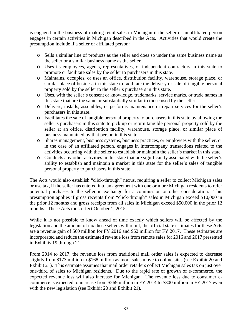is engaged in the business of making retail sales in Michigan if the seller or an affiliated person engages in certain activities in Michigan described in the Acts. Activities that would create the presumption include if a seller or affiliated person:

- o Sells a similar line of products as the seller and does so under the same business name as the seller or a similar business name as the seller.
- o Uses its employees, agents, representatives, or independent contractors in this state to promote or facilitate sales by the seller to purchasers in this state.
- o Maintains, occupies, or uses an office, distribution facility, warehouse, storage place, or similar place of business in this state to facilitate the delivery or sale of tangible personal property sold by the seller to the seller's purchasers in this state.
- o Uses, with the seller's consent or knowledge, trademarks, service marks, or trade names in this state that are the same or substantially similar to those used by the seller.
- o Delivers, installs, assembles, or performs maintenance or repair services for the seller's purchasers in this state.
- o Facilitates the sale of tangible personal property to purchasers in this state by allowing the seller's purchasers in this state to pick up or return tangible personal property sold by the seller at an office, distribution facility, warehouse, storage place, or similar place of business maintained by that person in this state.
- o Shares management, business systems, business practices, or employees with the seller, or in the case of an affiliated person, engages in intercompany transactions related to the activities occurring with the seller to establish or maintain the seller's market in this state.
- o Conducts any other activities in this state that are significantly associated with the seller's ability to establish and maintain a market in this state for the seller's sales of tangible personal property to purchasers in this state.

The Acts would also establish "click-through" nexus, requiring a seller to collect Michigan sales or use tax, if the seller has entered into an agreement with one or more Michigan residents to refer potential purchases to the seller in exchange for a commission or other consideration. This presumption applies if gross receipts from "click-through" sales in Michigan exceed \$10,000 in the prior 12 months and gross receipts from all sales in Michigan exceed \$50,000 in the prior 12 months. These Acts took effect October 1, 2015.

While it is not possible to know ahead of time exactly which sellers will be affected by the legislation and the amount of tax those sellers will remit, the official state estimates for these Acts are a revenue gain of \$60 million for FY 2016 and \$62 million for FY 2017. These estimates are incorporated and reduce the estimated revenue loss from remote sales for 2016 and 2017 presented in Exhibits 19 through 21.

From 2014 to 2017, the revenue loss from traditional mail order sales is expected to decrease slightly from \$173 million to \$168 million as more sales move to online sites (see Exhibit 20 and Exhibit 21). This estimate assumes that mail order retailers collect Michigan sales tax on just over one-third of sales to Michigan residents. Due to the rapid rate of growth of e-commerce, the expected revenue loss will also increase for Michigan. The revenue loss due to consumer ecommerce is expected to increase from \$269 million in FY 2014 to \$300 million in FY 2017 even with the new legislation (see Exhibit 20 and Exhibit 21).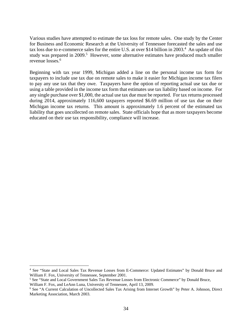Various studies have attempted to estimate the tax loss for remote sales. One study by the Center for Business and Economic Research at the University of Tennessee forecasted the sales and use tax loss due to e-commerce sales for the entire U.S. at over \$14 billion in 2003.<sup>4</sup> An update of this study was prepared in  $2009$ <sup>5</sup>. However, some alternative estimates have produced much smaller revenue losses.<sup>6</sup>

Beginning with tax year 1999, Michigan added a line on the personal income tax form for taxpayers to include use tax due on remote sales to make it easier for Michigan income tax filers to pay any use tax that they owe. Taxpayers have the option of reporting actual use tax due or using a table provided in the income tax form that estimates use tax liability based on income. For any single purchase over \$1,000, the actual use tax due must be reported. For tax returns processed during 2014, approximately 116,600 taxpayers reported \$6.69 million of use tax due on their Michigan income tax returns. This amount is approximately 1.6 percent of the estimated tax liability that goes uncollected on remote sales. State officials hope that as more taxpayers become educated on their use tax responsibility, compliance will increase.

 $\overline{a}$ 

<sup>4</sup> See "State and Local Sales Tax Revenue Losses from E-Commerce: Updated Estimates" by Donald Bruce and William F. Fox, University of Tennessee, September 2001.

<sup>&</sup>lt;sup>5</sup> See "State and Local Government Sales Tax Revenue Losses from Electronic Commerce" by Donald Bruce, William F. Fox, and LeAnn Luna, University of Tennessee, April 13, 2009.

<sup>6</sup> See "A Current Calculation of Uncollected Sales Tax Arising from Internet Growth" by Peter A. Johnson, Direct Marketing Association, March 2003.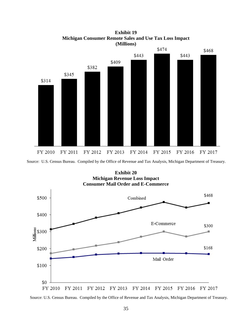

**Exhibit 19 Michigan Consumer Remote Sales and Use Tax Loss Impact (Millions)**

Source: U.S. Census Bureau. Compiled by the Office of Revenue and Tax Analysis, Michigan Department of Treasury.

**Exhibit 20** 

**Michigan Revenue Loss Impact Consumer Mail Order and E-Commerce** \$468 \$500 Combined \$400 E-Commerce \$300  $\begin{array}{c}\n\stackrel{\tiny \text{sc}}{\stackrel{\tiny \text{sc}}{\rightarrow}} \text{\$300}\n\\ \n\stackrel{\tiny \text{sc}}{\text{cm}}\n\\ \n\end{array}$ \$168 \$200 Mail Order \$100 \$0 FY 2011 FY 2012 FY 2013 FY 2014 FY 2015 FY 2016 FY 2017 FY 2010

Source: U.S. Census Bureau. Compiled by the Office of Revenue and Tax Analysis, Michigan Department of Treasury.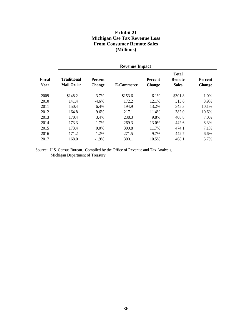## **Exhibit 21 Michigan Use Tax Revenue Loss From Consumer Remote Sales (Millions)**

|                       | <b>Revenue Impact</b>                   |                                 |            |                                 |                                               |                                 |  |  |
|-----------------------|-----------------------------------------|---------------------------------|------------|---------------------------------|-----------------------------------------------|---------------------------------|--|--|
| <b>Fiscal</b><br>Year | <b>Traditional</b><br><b>Mail Order</b> | <b>Percent</b><br><b>Change</b> | E-Commerce | <b>Percent</b><br><b>Change</b> | <b>Total</b><br><b>Remote</b><br><b>Sales</b> | <b>Percent</b><br><b>Change</b> |  |  |
| 2009                  | \$148.2                                 | $-3.7\%$                        | \$153.6    | 6.1%                            | \$301.8                                       | 1.0%                            |  |  |
| 2010                  | 141.4                                   | $-4.6\%$                        | 172.2      | 12.1%                           | 313.6                                         | 3.9%                            |  |  |
| 2011                  | 150.4                                   | 6.4%                            | 194.9      | 13.2%                           | 345.3                                         | 10.1%                           |  |  |
| 2012                  | 164.8                                   | 9.6%                            | 217.1      | 11.4%                           | 382.0                                         | 10.6%                           |  |  |
| 2013                  | 170.4                                   | 3.4%                            | 238.3      | 9.8%                            | 408.8                                         | 7.0%                            |  |  |
| 2014                  | 173.3                                   | 1.7%                            | 269.3      | 13.0%                           | 442.6                                         | 8.3%                            |  |  |
| 2015                  | 173.4                                   | 0.0%                            | 300.8      | 11.7%                           | 474.1                                         | 7.1%                            |  |  |
| 2016                  | 171.2                                   | $-1.2\%$                        | 271.5      | $-9.7\%$                        | 442.7                                         | $-6.6\%$                        |  |  |
| 2017                  | 168.0                                   | $-1.9\%$                        | 300.1      | 10.5%                           | 468.1                                         | 5.7%                            |  |  |

Source: U.S. Census Bureau. Compiled by the Office of Revenue and Tax Analysis, Michigan Department of Treasury.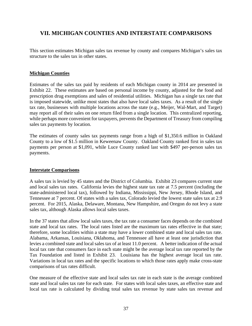# **VII. MICHIGAN COUNTIES AND INTERSTATE COMPARISONS**

This section estimates Michigan sales tax revenue by county and compares Michigan's sales tax structure to the sales tax in other states.

#### **Michigan Counties**

Estimates of the sales tax paid by residents of each Michigan county in 2014 are presented in Exhibit 22. These estimates are based on personal income by county, adjusted for the food and prescription drug exemptions and sales of residential utilities. Michigan has a single tax rate that is imposed statewide, unlike most states that also have local sales taxes. As a result of the single tax rate, businesses with multiple locations across the state (e.g., Meijer, Wal-Mart, and Target) may report all of their sales on one return filed from a single location. This centralized reporting, while perhaps more convenient for taxpayers, prevents the Department of Treasury from compiling sales tax payments by location.

The estimates of county sales tax payments range from a high of \$1,350.6 million in Oakland County to a low of \$1.5 million in Keweenaw County. Oakland County ranked first in sales tax payments per person at \$1,091, while Luce County ranked last with \$497 per-person sales tax payments.

#### **Interstate Comparisons**

A sales tax is levied by 45 states and the District of Columbia. Exhibit 23 compares current state and local sales tax rates. California levies the highest state tax rate at 7.5 percent (including the state-administered local tax), followed by Indiana, Mississippi, New Jersey, Rhode Island, and Tennessee at 7 percent. Of states with a sales tax, Colorado levied the lowest state sales tax at 2.9 percent. For 2015, Alaska, Delaware, Montana, New Hampshire, and Oregon do not levy a state sales tax, although Alaska allows local sales taxes.

In the 37 states that allow local sales taxes, the tax rate a consumer faces depends on the combined state and local tax rates. The local rates listed are the maximum tax rates effective in that state; therefore, some localities within a state may have a lower combined state and local sales tax rate. Alabama, Arkansas, Louisiana, Oklahoma, and Tennessee all have at least one jurisdiction that levies a combined state and local sales tax of at least 11.0 percent. A better indication of the actual local tax rate that consumers face in each state might be the average local tax rate reported by the Tax Foundation and listed in Exhibit 23. Louisiana has the highest average local tax rate. Variations in local tax rates and the specific locations to which those rates apply make cross-state comparisons of tax rates difficult.

One measure of the effective state and local sales tax rate in each state is the average combined state and local sales tax rate for each state. For states with local sales taxes, an effective state and local tax rate is calculated by dividing total sales tax revenue by state sales tax revenue and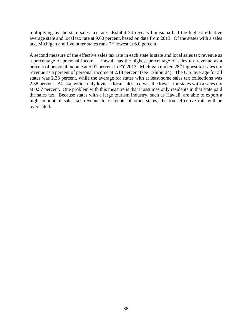multiplying by the state sales tax rate. Exhibit 24 reveals Louisiana had the highest effective average state and local tax rate at 9.60 percent, based on data from 2013. Of the states with a sales tax, Michigan and five other states rank  $7<sup>th</sup>$  lowest at 6.0 percent.

A second measure of the effective sales tax rate in each state is state and local sales tax revenue as a percentage of personal income. Hawaii has the highest percentage of sales tax revenue as a percent of personal income at 5.01 percent in FY 2013. Michigan ranked 28<sup>th</sup> highest for sales tax revenue as a percent of personal income at 2.18 percent (see Exhibit 24). The U.S. average for all states was 2.33 percent, while the average for states with at least some sales tax collections was 2.38 percent. Alaska, which only levies a local sales tax, was the lowest for states with a sales tax at 0.57 percent. One problem with this measure is that it assumes only residents in that state paid the sales tax. Because states with a large tourism industry, such as Hawaii, are able to export a high amount of sales tax revenue to residents of other states, the true effective rate will be overstated.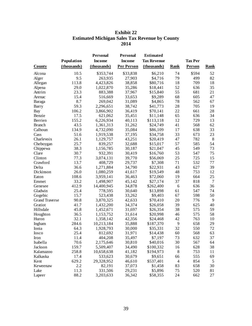## **Exhibit 22 Estimated Michigan Sales Tax Revenue by County 2014**

|                       |             | <b>Personal</b> | <b>Personal</b>   | <b>Estimated</b>   |                |                |                 |
|-----------------------|-------------|-----------------|-------------------|--------------------|----------------|----------------|-----------------|
|                       | Population  | <b>Income</b>   | <b>Income</b>     | <b>Tax Revenue</b> |                | <b>Tax Per</b> |                 |
| <b>County</b>         | (thousands) | (thousands)     | <b>Per Person</b> | (thousands)        | <b>Rank</b>    | Person         | <b>Rank</b>     |
| Alcona                | 10.5        | \$353,744       | \$33,838          | \$6,210            | 74             | \$594          | 52              |
| Alger                 | 9.5         | 263,935         | 27,903            | \$4,716            | 79             | 499            | 82              |
| Allegan               | 113.8       | 4,423,826       | 38,858            | \$80,716           | 18             | 709            | 18              |
| Alpena                | 29.0        | 1,022,870       | 35,286            | \$18,441           | 52             | 636            | 35              |
| Antrim                | 23.3        | 883,388         | 37,967            | \$15,840           | 55             | 681            | 21              |
| Arenac                | 15.4        | 516,669         | 33,653            | \$9,289            | 68             | 605            | 47              |
| Baraga                | 8.7         | 269,042         | 31,089            | \$4,865            | 78             | 562            | 67              |
| Barry                 | 59.3        | 2,296,651       | 38,742            | \$41,773           | 28             | 705            | 19              |
| Bay                   | 106.2       | 3,866,902       | 36,419            | \$70,141           | 22             | 661            | 28              |
| Benzie                | 17.5        | 621,062         | 35,451            | \$11,148           | 65             | 636            | 34              |
| Berrien               | 155.2       | 6,226,934       | 40,113            | \$113,118          | 12             | 729            | 13              |
| <b>Branch</b>         | 43.5        | 1,361,313       | 31,262            | \$24,749           | 41             | 568            | 62              |
| Calhoun               | 134.9       | 4,732,090       | 35,084            | \$86,109           | 17             | 638            | 33              |
| Cass                  | 51.6        | 1,919,538       | 37,195            | \$34,758           | 33             | 673            | 23              |
| Charlevoix            | 26.1        | 1,129,757       | 43,251            | \$20,419           | 47             | 782            | $8\phantom{.0}$ |
| Cheboygan             | 25.7        | 839,257         | 32,688            | \$15,017           | 57             | 585            | 54              |
| Chippewa              | 38.3        | 1,156,785       | 30,187            | \$21,047           | 45             | 549            | 73              |
| Clare                 | 30.7        | 932,391         | 30,419            | \$16,760           | 53             | 547            | 75              |
| Clinton               | 77.3        | 3,074,131       | 39,770            | \$56,069           | 25             | 725            | 15              |
| Crawford              | 13.7        | 408,729         | 29,737            | \$7,308            | 71             | 532            | 77              |
| Delta                 | 36.6        | 1,271,884       | 34,790            | \$22,931           | 43             | 627            | 39              |
| Dickinson             | 26.0        | 1,080,259       | 41,617            | \$19,549           | 48             | 753            | 12              |
| Eaton                 | 108.6       | 3,959,141       | 36,463            | \$72,060           | 19             | 664            | 25              |
| Emmet                 | 33.2        | 1,498,907       | 45,142            | \$27,174           | 37             | 818            | $\overline{7}$  |
| Genesee               | 412.9       | 14,400,945      | 34,878            | \$262,400          | 6              | 636            | 36              |
| Gladwin               | 25.4        | 778,595         | 30,640            | \$13,898           | 61             | 547            | 74              |
| Gogebic               | 15.7        | 523,438         | 33,262            | \$9,403            | 67             | 598            | 50              |
| <b>Grand Traverse</b> | 90.8        | 3,870,325       | 42,633            | \$70,410           | 20             | 776            | 9               |
| Gratiot               | 41.7        | 1,432,200       | 34,374            | \$26,058           | 39             | 625            | 40              |
| Hillsdale             | 45.8        | 1,452,671       | 31,697            | \$26,354           | 38             | 575            | 59              |
| Houghton              | 36.5        | 1,153,752       | 31,614            | \$20,998           | 46             | 575            | 58              |
| Huron                 | 32.1        | 1,358,142       | 42,356            | \$24,468           | 42             | 763            | 10              |
| Ingham                | 284.6       | 10,213,184      | 35,888            | \$187,370          | 9              | 658            | 29              |
| Ionia                 | 64.3        | 1,928,793       | 30,000            | \$35,331           | 32             | 550            | 72              |
| Iosco                 | 25.4        | 812,692         | 31,971            | \$14,438           | 60             | 568            | 63              |
| Iron                  | 11.4        | 404,208         | 35,497            | \$7,197            | 73             | 632            | 37              |
| Isabella              | 70.6        | 2,175,646       | 30,810            | \$40,016           | 30             | 567            | 64              |
| Jackson               | 159.7       | 5,509,407       | 34,490            | \$100,332          | 16             | 628            | 38              |
| Kalamazoo             | 258.8       | 10,658,638      | 41,182            | \$194,973          | 8              | 753            | 11              |
| Kalkaska              | 17.4        | 533,623         | 30,679            | \$9,651            | 66             | 555            | 69              |
| Kent                  | 629.2       | 29,328,952      | 46,610            | \$537,401          | $\overline{4}$ | 854            | 5               |
| Keweenaw              | 2.2         | 82,191          | 37,073            | \$1,458            | 83             | 658            | 30              |
| Lake                  | 11.3        | 331,506         | 29,231            | \$5,896            | 75             | 520            | 81              |
| Lapeer                | 88.2        | 3,203,633       | 36,342            | \$58,355           | 24             | 662            | 27              |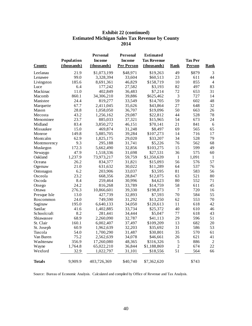## **Exhibit 22 (continued) Estimated Michigan Sales Tax Revenue by County 2014**

|               |             | <b>Personal</b> | <b>Personal</b>   | <b>Estimated</b>   |                |                |                |
|---------------|-------------|-----------------|-------------------|--------------------|----------------|----------------|----------------|
|               | Population  | <b>Income</b>   | <b>Income</b>     | <b>Tax Revenue</b> |                | <b>Tax Per</b> |                |
| <b>County</b> | (thousands) | (thousands)     | <b>Per Person</b> | (thousands)        | <u>Rank</u>    | <b>Person</b>  | <b>Rank</b>    |
| Leelanau      | 21.9        | \$1,073,199     | \$48,971          | \$19,263           | 49             | \$879          | $\overline{3}$ |
| Lenawee       | 99.0        | 3,328,394       | 33,604            | \$60,513           | 23             | 611            | 44             |
| Livingston    | 185.6       | 8,691,361       | 46,829            | \$158,719          | 10             | 855            | $\overline{4}$ |
| Luce          | 6.4         | 177,242         | 27,582            | \$3,193            | 82             | 497            | 83             |
| Mackinac      | 11.0        | 402,849         | 36,483            | \$7,214            | 72             | 653            | 31             |
| Macomb        | 860.1       | 34,306,210      | 39,886            | \$625,462          | 3              | 727            | 14             |
| Manistee      | 24.4        | 819,277         | 33,549            | \$14,705           | 59             | 602            | 48             |
| Marquette     | 67.7        | 2,411,045       | 35,626            | \$43,864           | 27             | 648            | 32             |
| Mason         | 28.8        | 1,058,050       | 36,707            | \$19,096           | 50             | 663            | 26             |
| Mecosta       | 43.2        | 1,256,162       | 29,087            | \$22,812           | 44             | 528            | 78             |
| Menominee     | 23.7        | 885,033         | 37,321            | \$15,965           | 54             | 673            | 24             |
| Midland       | 83.4        | 3,850,272       | 46,151            | \$70,141           | 21             | 841            | 6              |
| Missaukee     | 15.0        | 469,874         | 31,248            | \$8,497            | 69             | 565            | 65             |
| Monroe        | 149.8       | 5,885,705       | 39,284            | \$107,273          | 14             | 716            | 17             |
| Montcalm      | 62.9        | 1,825,175       | 29,020            | \$33,207           | 34             | 528            | 79             |
| Montmorency   | 9.3         | 295,188         | 31,741            | \$5,226            | 76             | 562            | 68             |
| Muskegon      | 172.3       | 5,662,490       | 32,856            | \$103,275          | 15             | 599            | 49             |
| Newaygo       | 47.9        | 1,518,336       | 31,698            | \$27,531           | 36             | 575            | 60             |
| Oakland       | 1,237.9     | 73,973,217      | 59,759            | \$1,350,639        | $\mathbf{1}$   | 1,091          | $\mathbf{1}$   |
| Oceana        | 26.2        | 834,377         | 31,821            | \$15,093           | 56             | 576            | 57             |
| Ogemaw        | 21.0        | 631,632         | 30,022            | \$11,289           | 64             | 537            | 76             |
| Ontonagon     | 6.2         | 203,906         | 33,037            | \$3,595            | 81             | 583            | 56             |
| Osceola       | 23.2        | 668,356         | 28,847            | \$12,075           | 63             | 521            | 80             |
| Oscoda        | 8.4         | 259,464         | 30,996            | \$4,623            | 80             | 552            | 71             |
| Otsego        | 24.2        | 816,268         | 33,789            | \$14,759           | 58             | 611            | 45             |
| Ottawa        | 276.3       | 10,866,601      | 39,330            | \$198,873          | $\overline{7}$ | 720            | 16             |
| Presque Isle  | 13.0        | 427,739         | 32,893            | \$7,593            | 70             | 584            | 55             |
| Roscommon     | 24.0        | 749,590         | 31,292            | \$13,250           | 62             | 553            | 70             |
| Saginaw       | 195.0       | 6,640,133       | 34,050            | \$120,613          | 11             | 618            | 42             |
| Sanilac       | 41.6        | 1,402,885       | 33,734            | \$25,372           | 40             | 610            | 46             |
| Schoolcraft   | 8.2         | 281,441         | 34,444            | \$5,047            | 77             | 618            | 43             |
| Shiawassee    | 68.9        | 2,260,090       | 32,787            | \$41,113           | 29             | 596            | 51             |
| St. Clair     | 160.1       | 6,002,407       | 37,497            | \$109,209          | 13             | 682            | 20             |
| St. Joseph    | 60.9        | 1,962,639       | 32,203            | \$35,692           | 31             | 586            | 53             |
| Tuscola       | 54.0        | 1,700,290       | 31,487            | \$30,801           | 35             | 570            | 61             |
| Van Buren     | 75.2        | 2,562,639       | 34,078            | \$46,661           | 26             | 621            | 41             |
| Washtenaw     | 356.9       | 17,260,080      | 48,365            | \$316,326          | 5              | 886            | $\sqrt{2}$     |
| Wayne         | 1,764.8     | 65,022,210      | 36,844            | \$1,188,869        | $\overline{c}$ | 674            | 22             |
| Wexford       | 32.9        | 1,022,797       | 31,101            | \$18,556           | 51             | 564            | 66             |
| <b>Totals</b> | 9,909.9     | 403,726,369     | \$40,740          | \$7,362,620        |                | \$743          |                |

Source: Bureau of Economic Analysis. Calculated and compiled by Office of Revenue and Tax Analysis.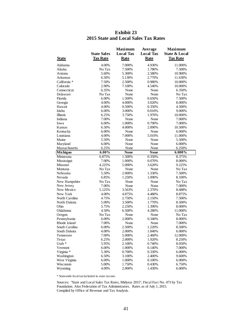| <b>State</b>      | <b>State Sales</b><br><b>Tax Rate</b> | <b>Maximum</b><br><b>Local Tax</b><br><b>Rate</b> | Average<br><b>Local Tax</b><br><b>Rate</b> | <b>Maximum</b><br><b>State &amp; Local</b><br><b>Tax Rate</b> |
|-------------------|---------------------------------------|---------------------------------------------------|--------------------------------------------|---------------------------------------------------------------|
| Alabama           | 4.00%                                 | 7.000%                                            | 4.930%                                     | 11.000%                                                       |
| Alaska            | No Tax                                | 7.500%                                            | 1.780%                                     | 7.500%                                                        |
| Arizona           | 5.60%                                 | 5.300%                                            | 2.580%                                     | 10.900%                                                       |
| Arkansas          | 6.50%                                 | 5.130%                                            | 2.770%                                     | 11.630%                                                       |
| California *      | 7.50%                                 | 2.500%                                            | 0.980%                                     | 10.000%                                                       |
| Colorado          | 2.90%                                 | 7.100%                                            | 4.540%                                     | 10.000%                                                       |
| Connecticut       | 6.35%                                 | None                                              | None                                       | 6.350%                                                        |
| Delaware          | No Tax                                | None                                              | None                                       | No Tax                                                        |
| Florida           | 6.00%                                 | 1.500%                                            | 0.650%                                     | 7.500%                                                        |
| Georgia           | 4.00%                                 | 4.000%                                            | 3.020%                                     | 8.000%                                                        |
| Hawaii            | 4.00%                                 | 0.500%                                            | 0.350%                                     | 4.500%                                                        |
| Idaho             | 6.00%                                 | 3.000%                                            | 0.010%                                     | 9.000%                                                        |
| <b>Illinois</b>   | 6.25%                                 | 3.750%                                            | 1.970%                                     | 10.000%                                                       |
| Indiana           | 7.00%                                 | None                                              | None                                       | 7.000%                                                        |
| Iowa              | 6.00%                                 | 1.000%                                            | 0.790%                                     | 7.000%                                                        |
| Kansas            | 6.50%                                 | 4.000%                                            | 2.090%                                     | 10.500%                                                       |
| Kentucky          | 6.00%                                 | None                                              | None                                       | 6.000%                                                        |
| Louisiana         | 4.00%                                 | 7.000%                                            | 5.010%                                     | 11.000%                                                       |
| Maine             | 5.50%                                 | None                                              | None                                       | 5.500%                                                        |
| Maryland          | 6.00%                                 | None                                              | None                                       | 6.000%                                                        |
| Massachusetts     | 6.25%                                 | None                                              | None                                       | 6.250%                                                        |
| Michigan          | $6.00\%$                              | <b>None</b>                                       | <b>None</b>                                | $6.000\%$                                                     |
| Minnesota         | 6.875%                                | 1.500%                                            | 0.350%                                     | 8.375%                                                        |
| Mississippi       | 7.00%                                 | 1.000%                                            | 0.070%                                     | 8.000%                                                        |
| Missouri          | 4.225%                                | 5.000%                                            | 3.620%                                     | 9.225%                                                        |
| Montana           | No Tax                                | None                                              | None                                       | No Tax                                                        |
| Nebraska          | 5.50%                                 | 2.000%                                            | 1.330%                                     | 7.500%                                                        |
| Nevada            | 6.85%                                 | 1.250%                                            | 1.090%                                     | 8.100%                                                        |
| New Hampshire     | No Tax                                | None                                              | None                                       | No Tax                                                        |
| New Jersey        | 7.00%                                 | None                                              | None                                       | 7.000%                                                        |
| New Mexico        | 5.125%                                | 3.563%                                            | 2.370%                                     | 8.688%                                                        |
| New York          | 4.00%                                 | 4.875%                                            | 4.480%                                     | 8.875%                                                        |
| North Carolina    | 4.75%                                 | 2.750%                                            | 2.150\%                                    | 7.500%                                                        |
| North Dakota      | 5.00%                                 | 3.500%                                            | 1.770%                                     | 8.500%                                                        |
| Ohio              | 5.75%                                 | 2.250%                                            | 1.390%                                     | 8.000%                                                        |
| Oklahoma          | 4.50%                                 | 6.500%                                            | 4.280%                                     | 11.000%                                                       |
| Oregon            | No Tax                                | None                                              | None                                       | No Tax                                                        |
| Pennsylvania      | 6.00%                                 | 2.000%                                            | 0.340%                                     | 8.000%                                                        |
| Rhode Island      | 7.00%                                 | None                                              | None                                       | 7.000%                                                        |
| South Carolina    | 6.00%                                 | 2.500%                                            | 1.220%                                     | 8.500%                                                        |
| South Dakota      | 4.00%                                 | 2.000%                                            | 1.840%                                     | 6.000%                                                        |
| Tennessee         | 7.00%                                 | 5.000%                                            | 2.460%                                     | 12.000%                                                       |
| Texas             | 6.25%                                 | 2.000%                                            | 1.920%                                     | 8.250%                                                        |
| Utah <sup>*</sup> | 5.95%                                 | 2.100%                                            | 0.740%                                     | 8.050%                                                        |
| Vermont           | 6.00%                                 | 1.000%                                            | 0.140%                                     | 7.000%                                                        |
| Virginia *        | 5.30%                                 | 0.700%                                            | 0.330%                                     | 6.000%                                                        |
| Washington        | 6.50%                                 | 3.100%                                            | 2.400%                                     | 9.600%                                                        |
| West Virginia     | 6.00%                                 | 1.000%                                            | 0.100%                                     | 6.000%                                                        |
| Wisconsin         | 5.00%                                 | 1.750%                                            | 0.430%                                     | 6.750%                                                        |
| Wyoming           | 4.00%                                 | 2.000%                                            | 1.430%                                     | 6.000%                                                        |
|                   |                                       |                                                   |                                            |                                                               |

## **Exhibit 23 2015 State and Local Sales Tax Rates**

\* Statewide local tax included in state tax rate.

Sources: "State and Local Sales Tax Rates, Midyear 2015", Fiscal Fact No. 473 by Tax Foundation. Also Federation of Tax Administrators. Rates as of July 1, 2015. Compiled by Office of Revenue and Tax Analysis.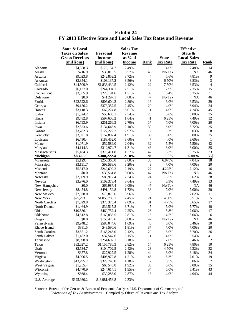|                | <b>State &amp; Local</b><br><b>Taxes on Sales/</b><br><b>Gross Receipts</b><br>(millions) | <b>Personal</b><br><b>Income</b><br>(millions) | <b>Sales Tax</b><br><b>Revenue</b><br>as $%$ of<br><b>Income</b> | <b>Rank</b>                 | <b>State</b><br><b>Tax Rate</b> | <b>Effective</b><br>State &<br><b>Local Sales</b><br><b>Tax Rate</b> | <b>Rank</b>     |
|----------------|-------------------------------------------------------------------------------------------|------------------------------------------------|------------------------------------------------------------------|-----------------------------|---------------------------------|----------------------------------------------------------------------|-----------------|
| Alabama        | \$4,358.3                                                                                 | \$175,154.7                                    | 2.49%                                                            | 19                          | 4.0%                            | 7.48%                                                                | 14              |
| Alaska         | \$216.9                                                                                   | \$38,015.5                                     | 0.57%                                                            | 46                          | No Tax                          | <b>NA</b>                                                            | 46              |
| Arizona        | \$9,023.8                                                                                 | \$242,852.2                                    | 3.72%                                                            | $\overline{4}$              | 5.6%                            | 7.81%                                                                | 9               |
| Arkansas       | \$3,854.1                                                                                 | \$108,137.2                                    | 3.56%                                                            | 8                           | 6.50%                           | 8.83%                                                                | $\mathfrak{Z}$  |
| California     | \$44,509.9                                                                                | \$1,836,430.5                                  | 2.42%                                                            | 22                          | 7.50%                           | 8.53%                                                                | $\overline{4}$  |
| Colorado       | \$6,127.0                                                                                 | \$244,304.1                                    | 2.51%                                                            | 18                          | 2.9%                            | 7.35%                                                                | 15              |
| Connecticut    | \$3,855.9                                                                                 | \$225,194.6                                    | 1.71%                                                            | 39                          | 6.4%                            | 6.35%                                                                | 31              |
| Delaware       | \$0.0                                                                                     | \$41,297.1                                     | 0.00%                                                            | 47                          | No Tax                          | <b>NA</b>                                                            | 46              |
| Florida        | \$22,622.6                                                                                | \$806,604.2                                    | 2.80%                                                            | 16                          | 6.0%                            | 6.53%                                                                | 29              |
| Georgia        | \$9,156.2                                                                                 | \$373,357.5                                    | 2.45%                                                            | 20                          | 4.0%                            | 6.94%                                                                | 24              |
| Hawaii         | \$3,118.3                                                                                 | \$62,274.8                                     | 5.01%                                                            | $\mathbf{1}$                | 4.0%                            | 4.24%                                                                | 45              |
| Idaho          | \$1,324.2                                                                                 | \$56,686.1                                     | 2.34%                                                            | 25                          | 6.0%                            | 6.00%                                                                | 35              |
| Illinois       | \$9,782.8                                                                                 | \$597,606.2                                    | 1.64%                                                            | 41                          | 6.25%                           | 7.49%                                                                | 12              |
| Indiana        | \$6,793.9                                                                                 | \$251,266.3                                    | 2.70%                                                            | 17                          | 7.0%                            | 7.00%                                                                | 20              |
| Iowa           | \$2,823.6                                                                                 | \$134,643.9                                    | 2.10%                                                            | 30                          | 6.0%                            | 6.72%                                                                | 25              |
| Kansas         | \$3,782.3                                                                                 | \$127,222.2                                    | 2.97%                                                            | 12                          | 6.2%                            | 8.03%                                                                | $\,8\,$         |
| Kentucky       | \$3,021.8                                                                                 | \$157,802.4                                    | 1.91%                                                            | 36                          | 6.0%                            | 6.00%                                                                | 35              |
| Louisiana      | \$6,780.4                                                                                 | \$188,452.0                                    | 3.60%                                                            | $\overline{7}$              | 4.0%                            | 9.60%                                                                | $\mathbf{1}$    |
| Maine          | \$1,071.9                                                                                 | \$52,589.0                                     | 2.04%                                                            | 32                          | 5.5%                            | 5.50%                                                                | 42              |
| Maryland       | \$4,114.3                                                                                 | \$312,974.7                                    | 1.31%                                                            | 43                          | 6.0%                            | 6.00%                                                                | 35              |
| Massachusetts  | \$5,184.3                                                                                 | \$379,411.8                                    | 1.37%                                                            | 42                          | 6.3%                            | 6.25%                                                                | 33              |
| Michigan       | \$8,465.9                                                                                 | \$388,222.4                                    | 2.18%                                                            | $\overline{28}$             | $6.0\%$                         | $6.00\%$                                                             | $\overline{35}$ |
| Minnesota      | \$5,129.4                                                                                 | \$256,363.0                                    | 2.00%                                                            | 33                          | 6.875%                          | 7.04%                                                                | 18              |
| Mississippi    | \$3,191.7                                                                                 | \$99,588.6                                     | 3.20%                                                            | 9                           | 7.0%                            | 7.00%                                                                | 20              |
| Missouri       | \$5,317.0                                                                                 | \$242,692.2                                    | 2.19%                                                            | 27                          | 4.225%                          | 7.12%                                                                | 16              |
| Montana        | \$0.0                                                                                     | \$39,561.8                                     | 0.00%                                                            | 47                          | No Tax                          | <b>NA</b>                                                            | 46              |
| Nebraska       | \$2,009.9                                                                                 | \$85,912.4                                     | 2.34%                                                            | 24                          | 5.5%                            | 6.62%                                                                | 28              |
| Nevada         | \$3,976.0                                                                                 | \$109,373.4                                    | 3.64%                                                            | 6                           | 6.9%                            | 7.49%                                                                | 13              |
| New Hampshire  | \$0.0                                                                                     | \$66,987.4                                     | 0.00%                                                            | 47                          | No Tax                          | <b>NA</b>                                                            | 46              |
| New Jersey     | \$8,454.8                                                                                 | \$491,159.8                                    | 1.72%                                                            | 38                          | 7.0%                            | 7.00%                                                                | 20              |
| New Mexico     | \$2,928.0                                                                                 | \$73,873.6                                     | 3.96%                                                            | $\ensuremath{\mathfrak{Z}}$ | 5.1%                            | 7.62%                                                                | 11              |
| New York       | \$25,793.1                                                                                | \$1,053,788.1                                  | 2.45%                                                            | 21                          | 4.00%                           | 8.51%                                                                | 5               |
| North Carolina | \$7,829.8                                                                                 | \$375,375.4                                    | 2.09%                                                            | 31                          | 4.75%                           | 6.65%                                                                | 27              |
| North Dakota   | \$1,464.9                                                                                 | \$39,515.8                                     | 3.71%                                                            | $\sqrt{5}$                  | 5.0%                            | 5.77%                                                                | 40              |
| Ohio           | \$10,586.1                                                                                | \$469,757.4                                    | 2.25%                                                            | 26                          | 5.8%                            | 7.06%                                                                | 17              |
| Oklahoma       | \$4,512.8                                                                                 | \$160,835.5                                    | 2.81%                                                            | 15                          | 4.5%                            | 8.06%                                                                | 6               |
| Oregon         | \$0.0                                                                                     | \$153,476.6                                    | 0.00%                                                            | 47                          | No Tax                          | NA                                                                   | 46              |
| Pennsylvania   | \$9,948.2                                                                                 | \$588,044.6                                    | 1.69%                                                            | 40                          | 6.0%                            | 6.46%                                                                | 30              |
| Rhode Island   | \$881.5                                                                                   | \$48,590.6                                     | 1.81%                                                            | 37                          | 7.0%                            | 7.00%                                                                | 20              |
| South Carolina | \$3,571.2                                                                                 | \$168,246.0                                    | 2.12%                                                            | 29                          | 6.0%                            | 6.70%                                                                | 26              |
| South Dakota   | \$1,182.0                                                                                 | \$37,547.6                                     | 3.15%                                                            | 11                          | 4.0%                            | 5.54%                                                                | 41              |
| Tennessee      | \$8,098.8                                                                                 | \$254,692.1                                    | 3.18%                                                            | 10                          | 7.0%                            | 9.46%                                                                | $\overline{c}$  |
| Texas          | \$32,627.2                                                                                | \$1,156,786.3                                  | 2.82%                                                            | 14                          | 6.25%                           | 7.80%                                                                | 10              |
| Utah           | \$2,534.7                                                                                 | \$104,702.5                                    | 2.42%                                                            | $23\,$                      | 4.70%                           | 6.32%                                                                | 32              |
| Vermont        | \$357.8                                                                                   | \$27,927.5                                     | 1.28%                                                            | 44                          | 6.0%                            | 6.18%                                                                | 34              |
| Virginia       | \$4,906.5                                                                                 | \$405,972.8                                    | 1.21%                                                            | 45                          | 5.3%                            | 7.01%                                                                | 19              |
| Washington     | \$13,795.7                                                                                | \$329,746.0                                    | 4.18%                                                            | $\sqrt{2}$                  | 6.5%                            | 8.06%                                                                | 7               |
| West Virginia  | \$1,255.4                                                                                 | \$65,545.8                                     | 1.92%                                                            | 35                          | 6.0%                            | 6.00%                                                                | 35              |
| Wisconsin      | \$4,770.9                                                                                 | \$244,614.1                                    | 1.95%                                                            | 34                          | 5.0%                            | 5.41%                                                                | 43              |
| Wyoming        | \$868.4                                                                                   | \$30,283.0                                     | 2.87%                                                            | 13                          | 4.0%                            | 4.94%                                                                | 44              |
| U.S. Average   | \$325,980.2                                                                               | \$13,981,458.8                                 | 2.33%                                                            |                             |                                 |                                                                      |                 |

#### **Exhibit 24 FY 2013 Effective State and Local Sales Tax Rates and Revenue**

Sources: Bureau of the Census & Bureau of Economic Analysis, U.S. Department of Commerce, and *Federation of Tax Administrators*. Compiled by Office of Revenue and Tax Analysis.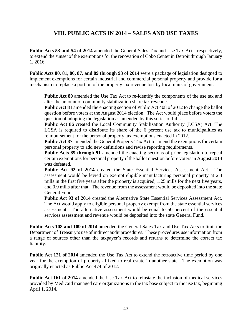# **VIII. PUBLIC ACTS IN 2014 – SALES AND USE TAXES**

**Public Acts 53 and 54 of 2014** amended the General Sales Tax and Use Tax Acts, respectively, to extend the sunset of the exemptions for the renovation of Cobo Center in Detroit through January 1, 2016.

**Public Acts 80, 81, 86, 87, and 89 through 93 of 2014** were a package of legislation designed to implement exemptions for certain industrial and commercial personal property and provide for a mechanism to replace a portion of the property tax revenue lost by local units of government.

**Public Act 80** amended the Use Tax Act to re-identify the components of the use tax and alter the amount of community stabilization share tax revenue.

**Public Act 81** amended the enacting section of Public Act 408 of 2012 to change the ballot question before voters at the August 2014 election. The Act would place before voters the question of adopting the legislation as amended by this series of bills.

**Public Act 86** created the Local Community Stabilization Authority (LCSA) Act. The LCSA is required to distribute its share of the 6 percent use tax to municipalities as reimbursement for the personal property tax exemptions enacted in 2012.

Public Act 87 amended the General Property Tax Act to amend the exemptions for certain personal property to add new definitions and revise reporting requirements.

**Public Acts 89 through 91** amended the enacting sections of prior legislation to repeal certain exemptions for personal property if the ballot question before voters in August 2014 was defeated.

**Public Act 92 of 2014** created the State Essential Services Assessment Act. The assessment would be levied on exempt eligible manufacturing personal property at 2.4 mills in the first five years after the property is acquired, 1.25 mills for the next five years, and 0.9 mills after that. The revenue from the assessment would be deposited into the state General Fund.

**Public Act 93 of 2014** created the Alternative State Essential Services Assessment Act. The Act would apply to eligible personal property exempt from the state essential services assessment. The alternative assessment would be equal to 50 percent of the essential services assessment and revenue would be deposited into the state General Fund.

**Public Acts 108 and 109 of 2014** amended the General Sales Tax and Use Tax Acts to limit the Department of Treasury's use of indirect audit procedures. These procedures use information from a range of sources other than the taxpayer's records and returns to determine the correct tax liability.

**Public Act 121 of 2014** amended the Use Tax Act to extend the retroactive time period by one year for the exemption of property affixed to real estate in another state. The exemption was originally enacted as Public Act 474 of 2012.

**Public Act 161 of 2014** amended the Use Tax Act to reinstate the inclusion of medical services provided by Medicaid managed care organizations in the tax base subject to the use tax, beginning April 1, 2014.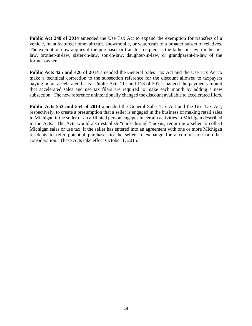**Public Act 248 of 2014** amended the Use Tax Act to expand the exemption for transfers of a vehicle, manufactured home, aircraft, snowmobile, or watercraft to a broader subset of relatives. The exemption now applies if the purchaser or transfer recipient is the father-in-law, mother-inlaw, brother-in-law, sister-in-law, son-in-law, daughter-in-law, or grandparent-in-law of the former owner.

**Public Acts 425 and 426 of 2014** amended the General Sales Tax Act and the Use Tax Act to make a technical correction to the subsection reference for the discount allowed to taxpayers paying on an accelerated basis. Public Acts 117 and 118 of 2012 changed the payment amount that accelerated sales and use tax filers are required to make each month by adding a new subsection. The new reference unintentionally changed the discount available to accelerated filers.

**Public Acts 553 and 554 of 2014** amended the General Sales Tax Act and the Use Tax Act, respectively, to create a presumption that a seller is engaged in the business of making retail sales in Michigan if the seller or an affiliated person engages in certain activities in Michigan described in the Acts. The Acts would also establish "click-through" nexus, requiring a seller to collect Michigan sales or use tax, if the seller has entered into an agreement with one or more Michigan residents to refer potential purchases to the seller in exchange for a commission or other consideration. These Acts take effect October 1, 2015.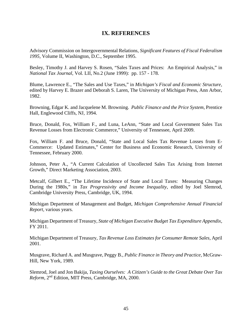## **IX. REFERENCES**

Advisory Commission on Intergovernmental Relations, *Significant Features of Fiscal Federalism 1995,* Volume II, Washington, D.C., September 1995.

Besley, Timothy J. and Harvey S. Rosen, "Sales Taxes and Prices: An Empirical Analysis," in *National Tax Journal*, Vol. LII, No.2 (June 1999): pp. 157 - 178.

Blume, Lawrence E., "The Sales and Use Taxes," in *Michigan's Fiscal and Economic Structure,*  edited by Harvey E. Brazer and Deborah S. Laren, The University of Michigan Press, Ann Arbor, 1982.

Browning, Edgar K. and Jacquelene M. Browning. *Public Finance and the Price System*, Prentice Hall, Englewood Cliffs, NJ, 1994.

Bruce, Donald, Fox, William F., and Luna, LeAnn, "State and Local Government Sales Tax Revenue Losses from Electronic Commerce," University of Tennessee, April 2009.

Fox, William F. and Bruce, Donald, "State and Local Sales Tax Revenue Losses from E-Commerce: Updated Estimates," Center for Business and Economic Research, University of Tennessee, February 2000.

Johnson, Peter A., "A Current Calculation of Uncollected Sales Tax Arising from Internet Growth," Direct Marketing Association, 2003.

Metcalf, Gilbert E., "The Lifetime Incidence of State and Local Taxes: Measuring Changes During the 1980s," in *Tax Progressivity and Income Inequality*, edited by Joel Slemrod, Cambridge University Press, Cambridge, UK, 1994.

Michigan Department of Management and Budget, *Michigan Comprehensive Annual Financial Report,* various years.

Michigan Department of Treasury, *State of Michigan Executive Budget Tax Expenditure Appendix,*  FY 2011.

Michigan Department of Treasury, *Tax Revenue Loss Estimates for Consumer Remote Sales,* April 2001.

Musgrave, Richard A. and Musgrave, Peggy B., *Public Finance in Theory and Practice,* McGraw-Hill, New York, 1989.

Slemrod, Joel and Jon Bakija, *Taxing Ourselves: A Citizen's Guide to the Great Debate Over Tax Reform*, 2nd Edition, MIT Press, Cambridge, MA, 2000.